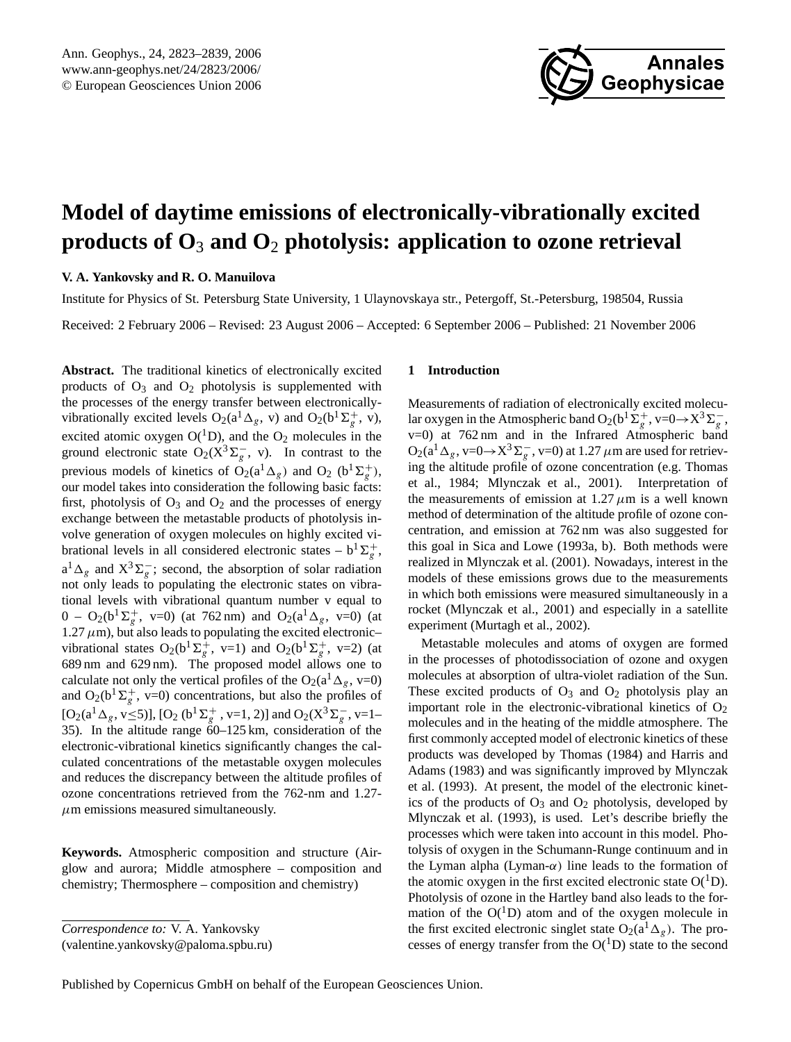

# <span id="page-0-0"></span>**Model of daytime emissions of electronically-vibrationally excited products of O**<sup>3</sup> **and O**<sup>2</sup> **photolysis: application to ozone retrieval**

## **V. A. Yankovsky and R. O. Manuilova**

Institute for Physics of St. Petersburg State University, 1 Ulaynovskaya str., Petergoff, St.-Petersburg, 198504, Russia

Received: 2 February 2006 – Revised: 23 August 2006 – Accepted: 6 September 2006 – Published: 21 November 2006

**Abstract.** The traditional kinetics of electronically excited products of  $O_3$  and  $O_2$  photolysis is supplemented with the processes of the energy transfer between electronicallyvibrationally excited levels  $O_2(a^1 \Delta_g, v)$  and  $O_2(b^1 \Sigma_g^+, v)$ , excited atomic oxygen  $O(^1D)$ , and the  $O_2$  molecules in the ground electronic state  $O_2(X^3\Sigma_g^-$ , v). In contrast to the previous models of kinetics of  $\overline{O}_2(a^1\Delta_g)$  and  $O_2$  (b<sup>1</sup> $\Sigma_g^+$ ), our model takes into consideration the following basic facts: first, photolysis of  $O_3$  and  $O_2$  and the processes of energy exchange between the metastable products of photolysis involve generation of oxygen molecules on highly excited vibrational levels in all considered electronic states –  $b^1\Sigma_g^+$ ,  $a^1 \Delta_g$  and  $X^3 \Sigma_g^-$ ; second, the absorption of solar radiation not only leads to populating the electronic states on vibrational levels with vibrational quantum number v equal to  $0 - O_2(b^1\Sigma_g^+, v=0)$  (at 762 nm) and  $O_2(a^1\Delta_g, v=0)$  (at 1.27  $\mu$ m), but also leads to populating the excited electronic– vibrational states  $O_2(b^1\Sigma_g^+, v=1)$  and  $O_2(b^1\Sigma_g^+, v=2)$  (at 689 nm and 629 nm). The proposed model allows one to calculate not only the vertical profiles of the O<sub>2</sub>( $a^1 \Delta_g$ , v=0) and  $O_2(b^1\Sigma_g^+, v=0)$  concentrations, but also the profiles of  $[O_2(a^1\Delta_g, v\leq 5)]$ ,  $[O_2(b^1\Sigma_g^+, v=1, 2)]$  and  $O_2(X^3\Sigma_g^-, v=1-$ 35). In the altitude range  $60-125$  km, consideration of the electronic-vibrational kinetics significantly changes the calculated concentrations of the metastable oxygen molecules and reduces the discrepancy between the altitude profiles of ozone concentrations retrieved from the 762-nm and 1.27-  $\mu$ m emissions measured simultaneously.

**Keywords.** Atmospheric composition and structure (Airglow and aurora; Middle atmosphere – composition and chemistry; Thermosphere – composition and chemistry)

(valentine.yankovsky@paloma.spbu.ru)

## **1 Introduction**

Measurements of radiation of electronically excited molecular oxygen in the Atmospheric band  $O_2(b^1\Sigma_g^+, v=0 \rightarrow X^3\Sigma_g^-$ , v=0) at 762 nm and in the Infrared Atmospheric band  $O_2(a^1\Delta_g, v=0 \rightarrow X^3\Sigma_g^-$ , v=0) at 1.27  $\mu$ m are used for retrieving the altitude profile of ozone concentration (e.g. Thomas et al., 1984; Mlynczak et al., 2001). Interpretation of the measurements of emission at 1.27  $\mu$ m is a well known method of determination of the altitude profile of ozone concentration, and emission at 762 nm was also suggested for this goal in Sica and Lowe (1993a, b). Both methods were realized in Mlynczak et al. (2001). Nowadays, interest in the models of these emissions grows due to the measurements in which both emissions were measured simultaneously in a rocket (Mlynczak et al., 2001) and especially in a satellite experiment (Murtagh et al., 2002).

Metastable molecules and atoms of oxygen are formed in the processes of photodissociation of ozone and oxygen molecules at absorption of ultra-violet radiation of the Sun. These excited products of  $O_3$  and  $O_2$  photolysis play an important role in the electronic-vibrational kinetics of  $O<sub>2</sub>$ molecules and in the heating of the middle atmosphere. The first commonly accepted model of electronic kinetics of these products was developed by Thomas (1984) and Harris and Adams (1983) and was significantly improved by Mlynczak et al. (1993). At present, the model of the electronic kinetics of the products of  $O_3$  and  $O_2$  photolysis, developed by Mlynczak et al. (1993), is used. Let's describe briefly the processes which were taken into account in this model. Photolysis of oxygen in the Schumann-Runge continuum and in the Lyman alpha (Lyman- $\alpha$ ) line leads to the formation of the atomic oxygen in the first excited electronic state  $O(^1D)$ . Photolysis of ozone in the Hartley band also leads to the formation of the  $O(^1D)$  atom and of the oxygen molecule in the first excited electronic singlet state  $O_2(a^1\Delta_g)$ . The processes of energy transfer from the  $O(^1D)$  state to the second

*Correspondence to:* V. A. Yankovsky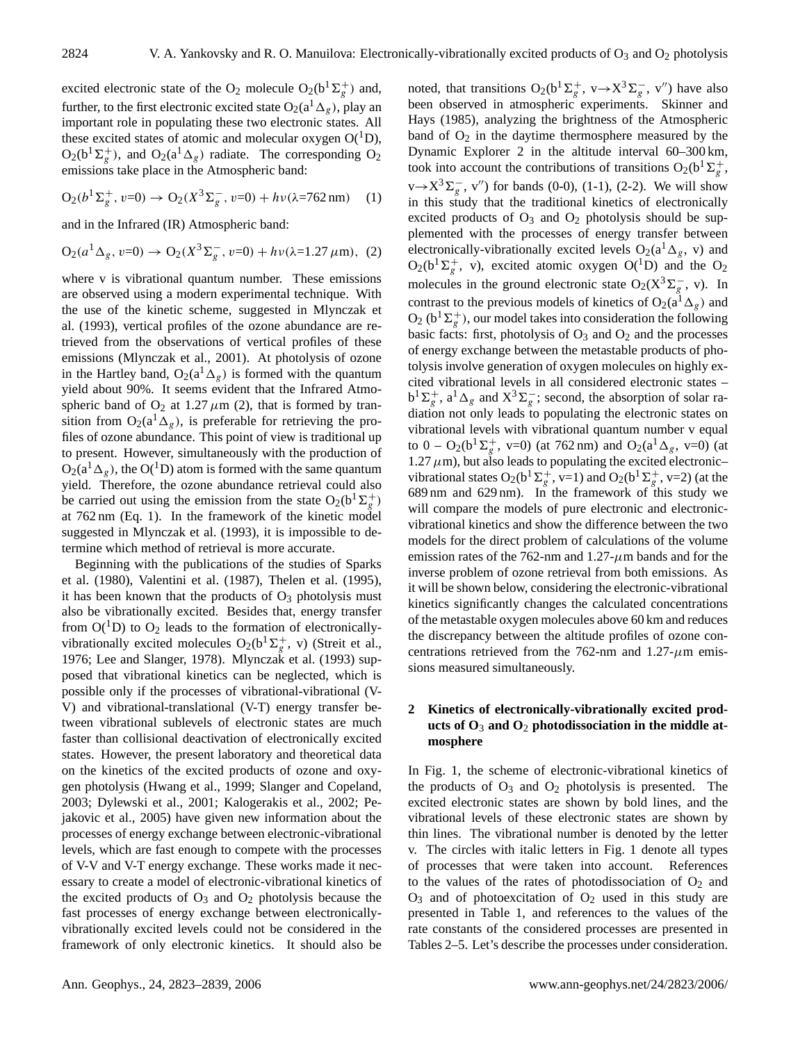excited electronic state of the O<sub>2</sub> molecule O<sub>2</sub>( $b^1\Sigma_g^+$ ) and, further, to the first electronic excited state  $O_2(a^1\Delta_g)$ , play an important role in populating these two electronic states. All these excited states of atomic and molecular oxygen  $O(^1D)$ ,  $O_2(b^1\Sigma_g^+)$ , and  $O_2(a^1\Delta_g)$  radiate. The corresponding  $O_2$ emissions take place in the Atmospheric band:

$$
O_2(b^1\Sigma_g^+, v=0) \to O_2(X^3\Sigma_g^-, v=0) + h\nu(\lambda=762 \,\text{nm}) \tag{1}
$$

and in the Infrared (IR) Atmospheric band:

$$
O_2(a^1 \Delta_g, v=0) \to O_2(X^3 \Sigma_g^-, v=0) + h\nu(\lambda=1.27 \,\mu\text{m}), \tag{2}
$$

where v is vibrational quantum number. These emissions are observed using a modern experimental technique. With the use of the kinetic scheme, suggested in Mlynczak et al. (1993), vertical profiles of the ozone abundance are retrieved from the observations of vertical profiles of these emissions (Mlynczak et al., 2001). At photolysis of ozone in the Hartley band,  $O_2(a^1\Delta_g)$  is formed with the quantum yield about 90%. It seems evident that the Infrared Atmospheric band of  $O_2$  at 1.27  $\mu$ m (2), that is formed by transition from  $O_2(a^1\Delta_g)$ , is preferable for retrieving the profiles of ozone abundance. This point of view is traditional up to present. However, simultaneously with the production of  $O_2(a^1\Delta_g)$ , the O(<sup>1</sup>D) atom is formed with the same quantum yield. Therefore, the ozone abundance retrieval could also be carried out using the emission from the state  $O_2(b^1\Sigma_g^+)$ at 762 nm (Eq. 1). In the framework of the kinetic model suggested in Mlynczak et al. (1993), it is impossible to determine which method of retrieval is more accurate.

Beginning with the publications of the studies of Sparks et al. (1980), Valentini et al. (1987), Thelen et al. (1995), it has been known that the products of  $O_3$  photolysis must also be vibrationally excited. Besides that, energy transfer from  $O(^1D)$  to  $O_2$  leads to the formation of electronicallyvibrationally excited molecules  $O_2(b^1\Sigma_g^+, v)$  (Streit et al., 1976; Lee and Slanger, 1978). Mlynczak et al. (1993) supposed that vibrational kinetics can be neglected, which is possible only if the processes of vibrational-vibrational (V-V) and vibrational-translational (V-T) energy transfer between vibrational sublevels of electronic states are much faster than collisional deactivation of electronically excited states. However, the present laboratory and theoretical data on the kinetics of the excited products of ozone and oxygen photolysis (Hwang et al., 1999; Slanger and Copeland, 2003; Dylewski et al., 2001; Kalogerakis et al., 2002; Pejakovic et al., 2005) have given new information about the processes of energy exchange between electronic-vibrational levels, which are fast enough to compete with the processes of V-V and V-T energy exchange. These works made it necessary to create a model of electronic-vibrational kinetics of the excited products of  $O_3$  and  $O_2$  photolysis because the fast processes of energy exchange between electronicallyvibrationally excited levels could not be considered in the framework of only electronic kinetics. It should also be

noted, that transitions  $O_2(b^1\Sigma_g^+, v \rightarrow X^3\Sigma_g^-, v'')$  have also been observed in atmospheric experiments. Skinner and Hays (1985), analyzing the brightness of the Atmospheric band of  $O_2$  in the daytime thermosphere measured by the Dynamic Explorer 2 in the altitude interval 60–300 km, took into account the contributions of transitions  $O_2(b^1\Sigma_g^+)$ ,  $v \rightarrow X^3 \Sigma_g^-$ , v'') for bands (0-0), (1-1), (2-2). We will show in this study that the traditional kinetics of electronically excited products of  $O_3$  and  $O_2$  photolysis should be supplemented with the processes of energy transfer between electronically-vibrationally excited levels  $O_2(a^1\Delta_g, v)$  and  $O_2(b^1\Sigma_g^+, v)$ , excited atomic oxygen  $O(^1D)$  and the  $O_2$ molecules in the ground electronic state O<sub>2</sub>( $X^3 \Sigma_g^-$ , v). In contrast to the previous models of kinetics of  $O_2(a^1\Delta_g)$  and  $O_2$  (b<sup>1</sup> $\Sigma_g^+$ ), our model takes into consideration the following basic facts: first, photolysis of  $O_3$  and  $O_2$  and the processes of energy exchange between the metastable products of photolysis involve generation of oxygen molecules on highly excited vibrational levels in all considered electronic states –  $b^1\Sigma_g^+$ ,  $a^1\Delta_g$  and  $X^3\Sigma_g^-$ ; second, the absorption of solar radiation not only leads to populating the electronic states on vibrational levels with vibrational quantum number v equal to  $0 - O_2(b^1\Sigma_g^+, v=0)$  (at 762 nm) and  $O_2(a^1\Delta_g, v=0)$  (at 1.27  $\mu$ m), but also leads to populating the excited electronicvibrational states  $O_2(b^1\Sigma_g^+, v=1)$  and  $O_2(b^1\Sigma_g^+, v=2)$  (at the 689 nm and 629 nm). In the framework of this study we will compare the models of pure electronic and electronicvibrational kinetics and show the difference between the two models for the direct problem of calculations of the volume emission rates of the 762-nm and 1.27- $\mu$ m bands and for the inverse problem of ozone retrieval from both emissions. As it will be shown below, considering the electronic-vibrational kinetics significantly changes the calculated concentrations of the metastable oxygen molecules above 60 km and reduces the discrepancy between the altitude profiles of ozone concentrations retrieved from the 762-nm and 1.27- $\mu$ m emissions measured simultaneously.

# **2 Kinetics of electronically-vibrationally excited products of O**<sup>3</sup> **and O**<sup>2</sup> **photodissociation in the middle atmosphere**

In Fig. 1, the scheme of electronic-vibrational kinetics of the products of  $O_3$  and  $O_2$  photolysis is presented. The excited electronic states are shown by bold lines, and the vibrational levels of these electronic states are shown by thin lines. The vibrational number is denoted by the letter v. The circles with italic letters in Fig. 1 denote all types of processes that were taken into account. References to the values of the rates of photodissociation of  $O_2$  and  $O_3$  and of photoexcitation of  $O_2$  used in this study are presented in Table 1, and references to the values of the rate constants of the considered processes are presented in Tables 2–5. Let's describe the processes under consideration.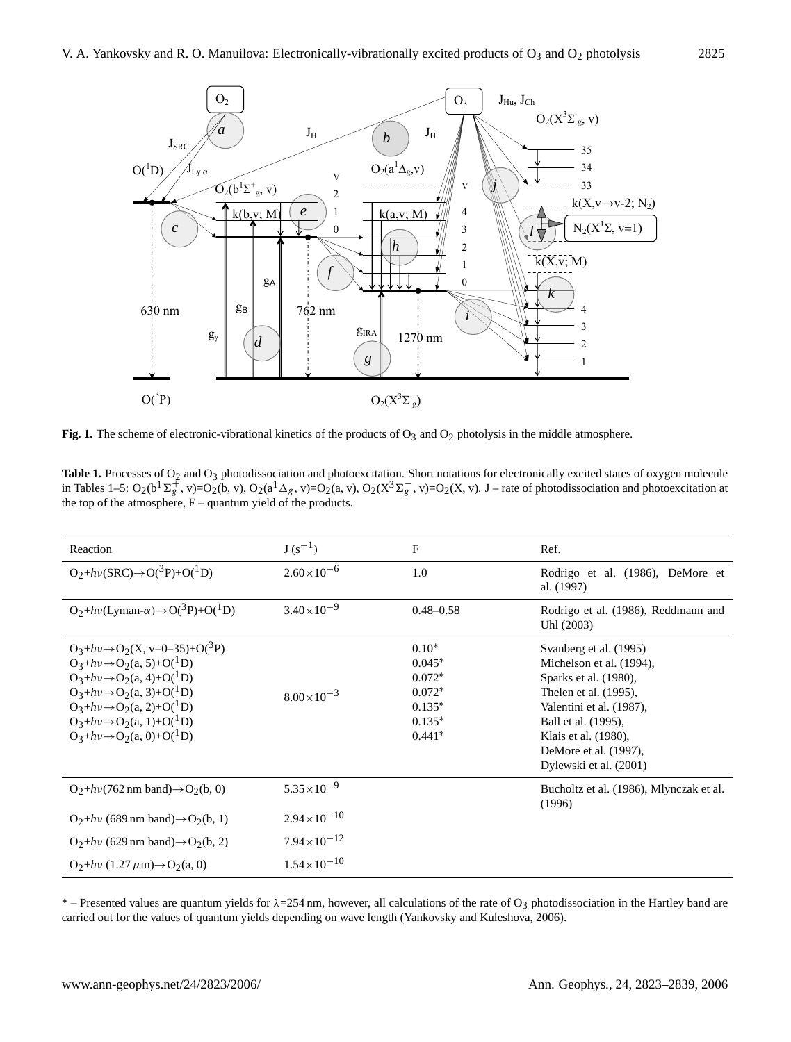

**Fig. 1.** The scheme of electronic-vibrational kinetics of the products of O<sub>3</sub> and O<sub>2</sub> photolysis in the middle atmosphere.

Table 1. Processes of O<sub>2</sub> and O<sub>3</sub> photodissociation and photoexcitation. Short notations for electronically excited states of oxygen molecule in Tables 1–5:  $O_2(b^1\Sigma_g^+$ , v)= $O_2(b, v)$ ,  $O_2(a^1\Delta_g, v) = O_2(a, v)$ ,  $O_2(X^3\Sigma_g^-$ , v)= $O_2(X, v)$ . J – rate of photodissociation and photoexcitation at the top of the atmosphere,  $F -$ quantum yield of the products.

| Reaction                                                                                                                                                                                                                                                                                                                                 | $J(s^{-1})$            | F                                                                               | Ref.                                                                                                                                                                                                                               |
|------------------------------------------------------------------------------------------------------------------------------------------------------------------------------------------------------------------------------------------------------------------------------------------------------------------------------------------|------------------------|---------------------------------------------------------------------------------|------------------------------------------------------------------------------------------------------------------------------------------------------------------------------------------------------------------------------------|
| $O_2 + h\nu(SRC) \rightarrow O(^3P) + O(^1D)$                                                                                                                                                                                                                                                                                            | $2.60\times10^{-6}$    | 1.0                                                                             | Rodrigo et al. (1986), DeMore et<br>al. (1997)                                                                                                                                                                                     |
| $O_2 + h\nu$ (Lyman- $\alpha$ ) $\rightarrow$ O( <sup>3</sup> P)+O( <sup>1</sup> D)                                                                                                                                                                                                                                                      | $3.40\times10^{-9}$    | $0.48 - 0.58$                                                                   | Rodrigo et al. (1986), Reddmann and<br>Uhl (2003)                                                                                                                                                                                  |
| $O_3 + h\nu \rightarrow O_2(X, v=0-35)+O(^3P)$<br>$O_3 + h\nu \rightarrow O_2(a, 5) + O(^1D)$<br>$O_3 + h\nu \rightarrow O_2(a, 4) + O(^1D)$<br>$O_3 + h\nu \rightarrow O_2(a, 3) + O(^1D)$<br>$O_3 + h\nu \rightarrow O_2(a, 2) + O(^1D)$<br>$O_3 + h\nu \rightarrow O_2(a, 1) + O(^1D)$<br>$O_3 + h\nu \rightarrow O_2(a, 0) + O(^1D)$ | $8.00\times10^{-3}$    | $0.10*$<br>$0.045*$<br>$0.072*$<br>$0.072*$<br>$0.135*$<br>$0.135*$<br>$0.441*$ | Svanberg et al. (1995)<br>Michelson et al. (1994),<br>Sparks et al. (1980),<br>Thelen et al. (1995),<br>Valentini et al. (1987),<br>Ball et al. (1995),<br>Klais et al. (1980),<br>DeMore et al. (1997),<br>Dylewski et al. (2001) |
| $O_2 + h\nu(762 \text{ nm band}) \rightarrow O_2(b, 0)$                                                                                                                                                                                                                                                                                  | $5.35 \times 10^{-9}$  |                                                                                 | Bucholtz et al. (1986), Mlynczak et al.<br>(1996)                                                                                                                                                                                  |
| $O_2 + h\nu$ (689 nm band) $\rightarrow$ $O_2(b, 1)$                                                                                                                                                                                                                                                                                     | $2.94 \times 10^{-10}$ |                                                                                 |                                                                                                                                                                                                                                    |
| $O_2 + h\nu$ (629 nm band) $\rightarrow$ $O_2(b, 2)$                                                                                                                                                                                                                                                                                     | $7.94 \times 10^{-12}$ |                                                                                 |                                                                                                                                                                                                                                    |
| $O_2 + h\nu (1.27 \mu m) \rightarrow O_2(a, 0)$                                                                                                                                                                                                                                                                                          | $1.54 \times 10^{-10}$ |                                                                                 |                                                                                                                                                                                                                                    |

\* – Presented values are quantum yields for  $\lambda$ =254 nm, however, all calculations of the rate of O<sub>3</sub> photodissociation in the Hartley band are carried out for the values of quantum yields depending on wave length (Yankovsky and Kuleshova, 2006).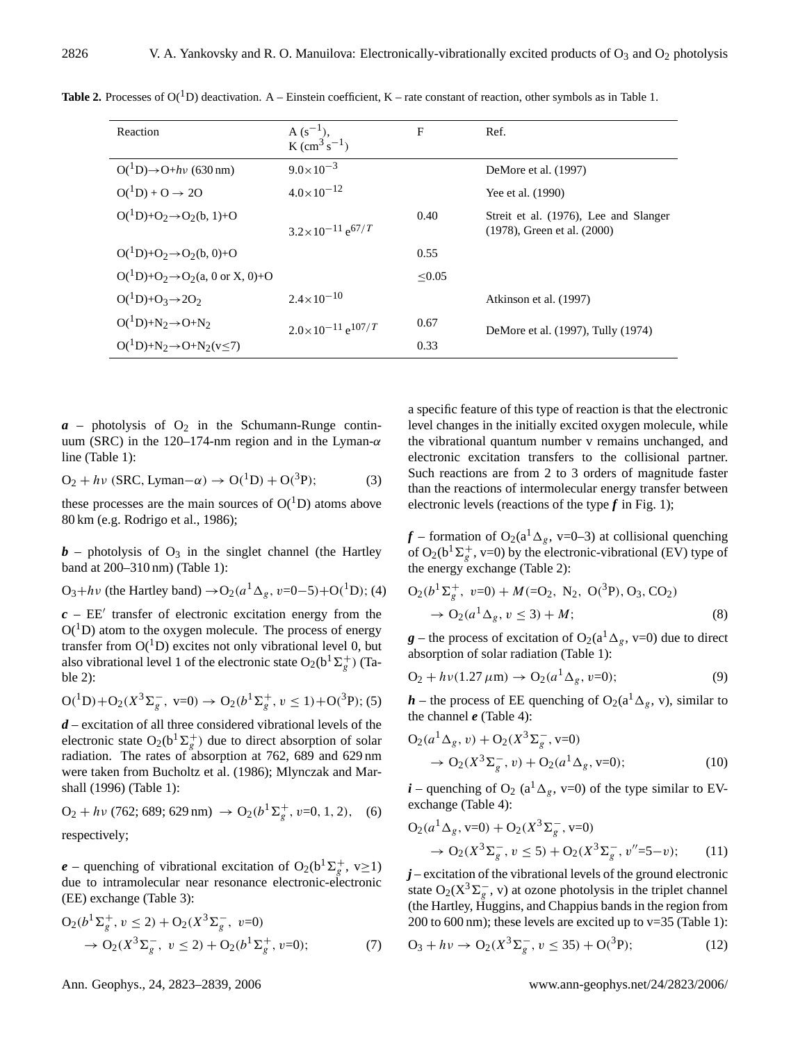| Reaction                                                | $A(s^{-1})$ ,<br>K $\rm (cm^3 \, s^{-1})$ | F      | Ref.                                                                      |
|---------------------------------------------------------|-------------------------------------------|--------|---------------------------------------------------------------------------|
| $O(^1D) \rightarrow O + h\nu$ (630 nm)                  | $9.0\times10^{-3}$                        |        | DeMore et al. (1997)                                                      |
| $O(^1D) + O \rightarrow 2O$                             | $4.0\times10^{-12}$                       |        | Yee et al. (1990)                                                         |
| $O(^1D)+O_2 \rightarrow O_2(b, 1)+O$                    | $3.2 \times 10^{-11}$ e <sup>67</sup> /T  | 0.40   | Streit et al. (1976), Lee and Slanger<br>$(1978)$ , Green et al. $(2000)$ |
| $O(^1D)+O_2 \rightarrow O_2(b, 0)+O$                    |                                           | 0.55   |                                                                           |
| $O(^{1}D)+O_2 \rightarrow O_2(a, 0 \text{ or } X, 0)+O$ |                                           | < 0.05 |                                                                           |
| $O(^1D)+O_3\rightarrow 2O_2$                            | $2.4 \times 10^{-10}$                     |        | Atkinson et al. (1997)                                                    |
| $O(^1D)+N_2\rightarrow O+N_2$                           | $2.0\times10^{-11}$ e <sup>107</sup> /T   | 0.67   | DeMore et al. (1997), Tully (1974)                                        |
| $O(^1D)+N_2 \rightarrow O+N_2(v<7)$                     |                                           | 0.33   |                                                                           |

**Table 2.** Processes of  $O(^{1}D)$  deactivation. A – Einstein coefficient, K – rate constant of reaction, other symbols as in Table 1.

 $a$  – photolysis of  $O_2$  in the Schumann-Runge continuum (SRC) in the 120–174-nm region and in the Lyman- $\alpha$ line (Table 1):

$$
O_2 + h\nu (SRC, Lyman - \alpha) \rightarrow O(^1D) + O(^3P); \tag{3}
$$

these processes are the main sources of  $O(^1D)$  atoms above 80 km (e.g. Rodrigo et al., 1986);

 **– photolysis of**  $O_3$  **in the singlet channel (the Hartley** band at 200–310 nm) (Table 1):

$$
O_3 + h\nu
$$
 (the Hartley band)  $\rightarrow$   $O_2(a^1 \Delta_g, \nu=0-5)+O(^1D)$ ; (4)

 $c$  –  $EE'$  transfer of electronic excitation energy from the  $O(^1D)$  atom to the oxygen molecule. The process of energy transfer from  $O(^1D)$  excites not only vibrational level 0, but also vibrational level 1 of the electronic state  $O_2(b^1\Sigma_g^+)$  (Table 2):

$$
O({}^{1}D) + O_{2}(X^{3}\Sigma_{g}^{-}, \ v=0) \rightarrow O_{2}(b^{1}\Sigma_{g}^{+}, \ v \le 1) + O({}^{3}P); (5)
$$

*d* – excitation of all three considered vibrational levels of the electronic state  $O_2(b^1\Sigma_g^+)$  due to direct absorption of solar radiation. The rates of absorption at 762, 689 and 629 nm were taken from Bucholtz et al. (1986); Mlynczak and Marshall (1996) (Table 1):

 $O_2 + h\nu$  (762; 689; 629 nm)  $\rightarrow O_2(b^1\Sigma_g^+, v=0, 1, 2),$  (6) respectively;

 $e$  – quenching of vibrational excitation of O<sub>2</sub>(b<sup>1</sup> $\Sigma_g^+$ , v $\geq$ 1) due to intramolecular near resonance electronic-electronic (EE) exchange (Table 3):

$$
O_2(b^1\Sigma_g^+, v \le 2) + O_2(X^3\Sigma_g^-, v=0)
$$
  
\n
$$
\rightarrow O_2(X^3\Sigma_g^-, v \le 2) + O_2(b^1\Sigma_g^+, v=0);
$$
\n(7)

a specific feature of this type of reaction is that the electronic level changes in the initially excited oxygen molecule, while the vibrational quantum number v remains unchanged, and electronic excitation transfers to the collisional partner. Such reactions are from 2 to 3 orders of magnitude faster than the reactions of intermolecular energy transfer between electronic levels (reactions of the type  $f$  in Fig. 1);

 $f$  – formation of O<sub>2</sub>(a<sup>1</sup>  $\Delta_g$ , v=0–3) at collisional quenching of O<sub>2</sub>(b<sup>1</sup> $\Sigma_g^+$ , v=0) by the electronic-vibrational (EV) type of the energy exchange (Table 2):

$$
O_2(b^1\Sigma_g^+, v=0) + M(=O_2, N_2, O(^3P), O_3, CO_2) \n\to O_2(a^1\Delta_g, v \le 3) + M;
$$
\n(8)

 $g$  – the process of excitation of O<sub>2</sub>(a<sup>1</sup> $\Delta_g$ , v=0) due to direct absorption of solar radiation (Table 1):

$$
O_2 + h\nu(1.27 \,\mu\text{m}) \to O_2(a^1 \Delta_g, \nu=0); \tag{9}
$$

 $h$  – the process of EE quenching of O<sub>2</sub>(a<sup>1</sup> $\Delta_g$ , v), similar to the channel *e* (Table 4):

$$
O_2(a^1 \Delta_g, v) + O_2(X^3 \Sigma_g^-, v=0)
$$
  
\n
$$
\rightarrow O_2(X^3 \Sigma_g^-, v) + O_2(a^1 \Delta_g, v=0);
$$
\n(10)

*i* – quenching of O<sub>2</sub> (a<sup>1</sup> $\Delta_g$ , v=0) of the type similar to EVexchange (Table 4):

$$
O_2(a^1 \Delta_g, v=0) + O_2(X^3 \Sigma_g^-, v=0)
$$
  
\n
$$
\rightarrow O_2(X^3 \Sigma_g^-, v \le 5) + O_2(X^3 \Sigma_g^-, v''=5-v); \qquad (11)
$$

*j* – excitation of the vibrational levels of the ground electronic state O<sub>2</sub>( $X^3 \Sigma_g^-$ , v) at ozone photolysis in the triplet channel (the Hartley, Huggins, and Chappius bands in the region from 200 to 600 nm); these levels are excited up to  $v=35$  (Table 1):

$$
O_3 + h\nu \to O_2(X^3 \Sigma_g^-, \nu \le 35) + O(^3 P); \tag{12}
$$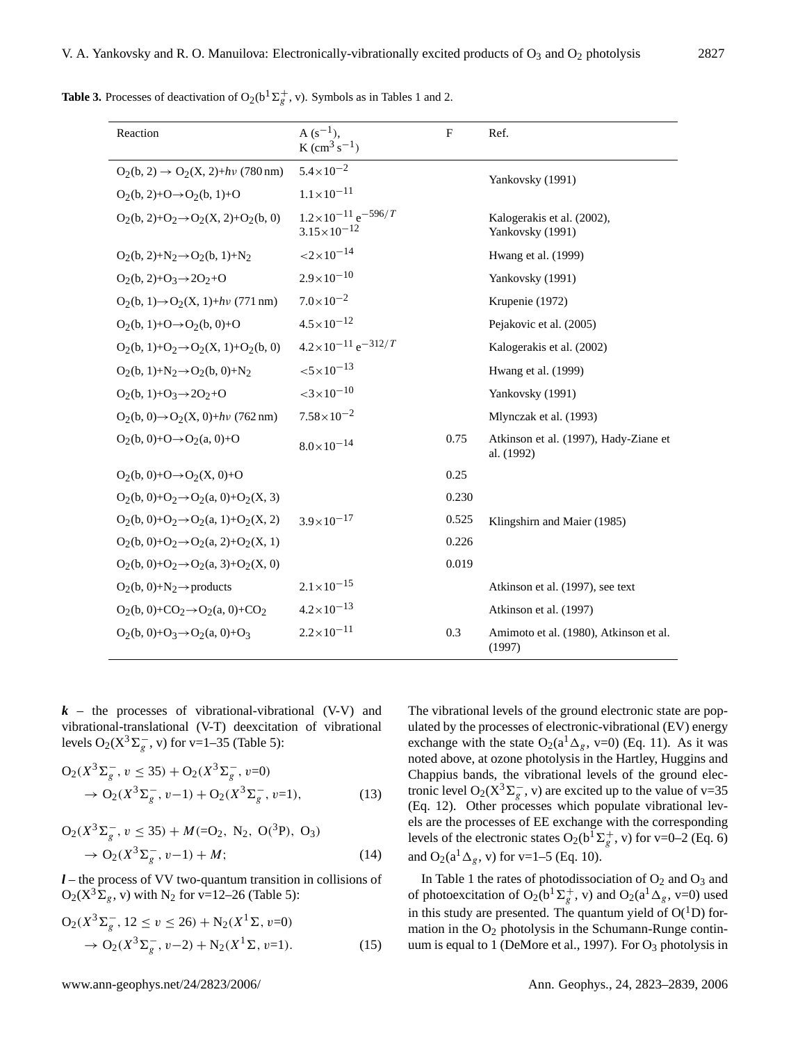| Reaction                                            | $A(s^{-1})$ ,<br>$K$ (cm <sup>3</sup> s <sup>-1</sup> )              | $\mathbf F$ | Ref.                                                |  |
|-----------------------------------------------------|----------------------------------------------------------------------|-------------|-----------------------------------------------------|--|
| $O_2(b, 2) \rightarrow O_2(X, 2)+hv$ (780 nm)       | $5.4\times10^{-2}$                                                   |             | Yankovsky (1991)                                    |  |
| $Q_2(b, 2)+Q \rightarrow Q_2(b, 1)+Q$               | $1.1 \times 10^{-11}$                                                |             |                                                     |  |
| $O_2(b, 2)+O_2 \rightarrow O_2(X, 2)+O_2(b, 0)$     | $1.2 \times 10^{-11}$ e <sup>-596</sup> /T<br>$3.15 \times 10^{-12}$ |             | Kalogerakis et al. (2002),<br>Yankovsky (1991)      |  |
| $O_2(b, 2)+N_2 \rightarrow O_2(b, 1)+N_2$           | ${<}2{\times}10^{-14}$                                               |             | Hwang et al. (1999)                                 |  |
| $O_2(b, 2)+O_3 \rightarrow 2O_2+O$                  | $2.9 \times 10^{-10}$                                                |             | Yankovsky (1991)                                    |  |
| $O_2(b, 1) \rightarrow O_2(X, 1) + hv$ (771 nm)     | $7.0\times10^{-2}$                                                   |             | Krupenie (1972)                                     |  |
| $O_2(b, 1)+O \rightarrow O_2(b, 0)+O$               | $4.5 \times 10^{-12}$                                                |             | Pejakovic et al. (2005)                             |  |
| $O_2(b, 1)+O_2 \rightarrow O_2(X, 1)+O_2(b, 0)$     | $4.2 \times 10^{-11}$ e <sup>-312</sup> /T                           |             | Kalogerakis et al. (2002)                           |  |
| $O_2(b, 1) + N_2 \rightarrow O_2(b, 0) + N_2$       | $< 5 \times 10^{-13}$                                                |             | Hwang et al. (1999)                                 |  |
| $O_2(b, 1)+O_3 \rightarrow 2O_2+O$                  | $<$ 3 $\times$ 10 <sup>-10</sup>                                     |             | Yankovsky (1991)                                    |  |
| $O_2(b, 0) \rightarrow O_2(X, 0) + hv$ (762 nm)     | $7.58 \times 10^{-2}$                                                |             | Mlynczak et al. (1993)                              |  |
| $O_2(b, 0) + O \rightarrow O_2(a, 0) + O$           | $8.0 \times 10^{-14}$                                                | 0.75        | Atkinson et al. (1997), Hady-Ziane et<br>al. (1992) |  |
| $O_2(b, 0) + O \rightarrow O_2(X, 0) + O$           |                                                                      | 0.25        |                                                     |  |
| $O_2(b, 0) + O_2 \rightarrow O_2(a, 0) + O_2(X, 3)$ |                                                                      | 0.230       |                                                     |  |
| $O_2(b, 0) + O_2 \rightarrow O_2(a, 1) + O_2(X, 2)$ | $3.9 \times 10^{-17}$                                                | 0.525       | Klingshirn and Maier (1985)                         |  |
| $O_2(b, 0) + O_2 \rightarrow O_2(a, 2) + O_2(X, 1)$ |                                                                      | 0.226       |                                                     |  |
| $O_2(b, 0) + O_2 \rightarrow O_2(a, 3) + O_2(X, 0)$ |                                                                      | 0.019       |                                                     |  |
| $O_2(b, 0) + N_2 \rightarrow$ products              | $2.1 \times 10^{-15}$                                                |             | Atkinson et al. (1997), see text                    |  |
| $O2(b, 0) + CO2 \rightarrow O2(a, 0) + CO2$         | $4.2 \times 10^{-13}$                                                |             | Atkinson et al. (1997)                              |  |
| $O_2(b, 0) + O_3 \rightarrow O_2(a, 0) + O_3$       | $2.2 \times 10^{-11}$                                                | 0.3         | Amimoto et al. (1980), Atkinson et al.<br>(1997)    |  |

**Table 3.** Processes of deactivation of  $O_2(b^1\Sigma_g^+, v)$ . Symbols as in Tables 1 and 2.

 $k$  – the processes of vibrational-vibrational (V-V) and vibrational-translational (V-T) deexcitation of vibrational levels O<sub>2</sub>( $X^3 \Sigma_g^-$ , v) for v=1–35 (Table 5):

$$
O_2(X^3 \Sigma_g^-, v \le 35) + O_2(X^3 \Sigma_g^-, v=0)
$$
  
\n
$$
\rightarrow O_2(X^3 \Sigma_g^-, v-1) + O_2(X^3 \Sigma_g^-, v=1),
$$
\n(13)

$$
O_2(X^3 \Sigma_g^-, v \le 35) + M(=O_2, N_2, O(^3 P), O_3)
$$
  
\n
$$
\rightarrow O_2(X^3 \Sigma_g^-, v-1) + M;
$$
 (14)

*l* – the process of VV two-quantum transition in collisions of  $O_2(X^3\Sigma_g, v)$  with N<sub>2</sub> for v=12–26 (Table 5):

$$
O_2(X^3 \Sigma_g^-, 12 \le v \le 26) + N_2(X^1 \Sigma, v=0)
$$
  
\n
$$
\rightarrow O_2(X^3 \Sigma_g^-, v-2) + N_2(X^1 \Sigma, v=1).
$$
 (15)

The vibrational levels of the ground electronic state are populated by the processes of electronic-vibrational (EV) energy exchange with the state  $O_2(a^1\Delta_g, v=0)$  (Eq. 11). As it was noted above, at ozone photolysis in the Hartley, Huggins and Chappius bands, the vibrational levels of the ground electronic level O<sub>2</sub>( $X^3 \Sigma_g^-$ , v) are excited up to the value of v=35 (Eq. 12). Other processes which populate vibrational levels are the processes of EE exchange with the corresponding levels of the electronic states O<sub>2</sub>( $b^{\bar{T}}\Sigma_g^+$ , v) for v=0–2 (Eq. 6) and O<sub>2</sub>( $a^{1} \Delta_{g}$ , v) for v=1–5 (Eq. 10).

In Table 1 the rates of photodissociation of  $O_2$  and  $O_3$  and of photoexcitation of O<sub>2</sub>(b<sup>1</sup> $\Sigma_g^+$ , v) and O<sub>2</sub>(a<sup>1</sup> $\Delta_g$ , v=0) used in this study are presented. The quantum yield of  $O(^1D)$  formation in the  $O_2$  photolysis in the Schumann-Runge continuum is equal to 1 (DeMore et al., 1997). For O<sub>3</sub> photolysis in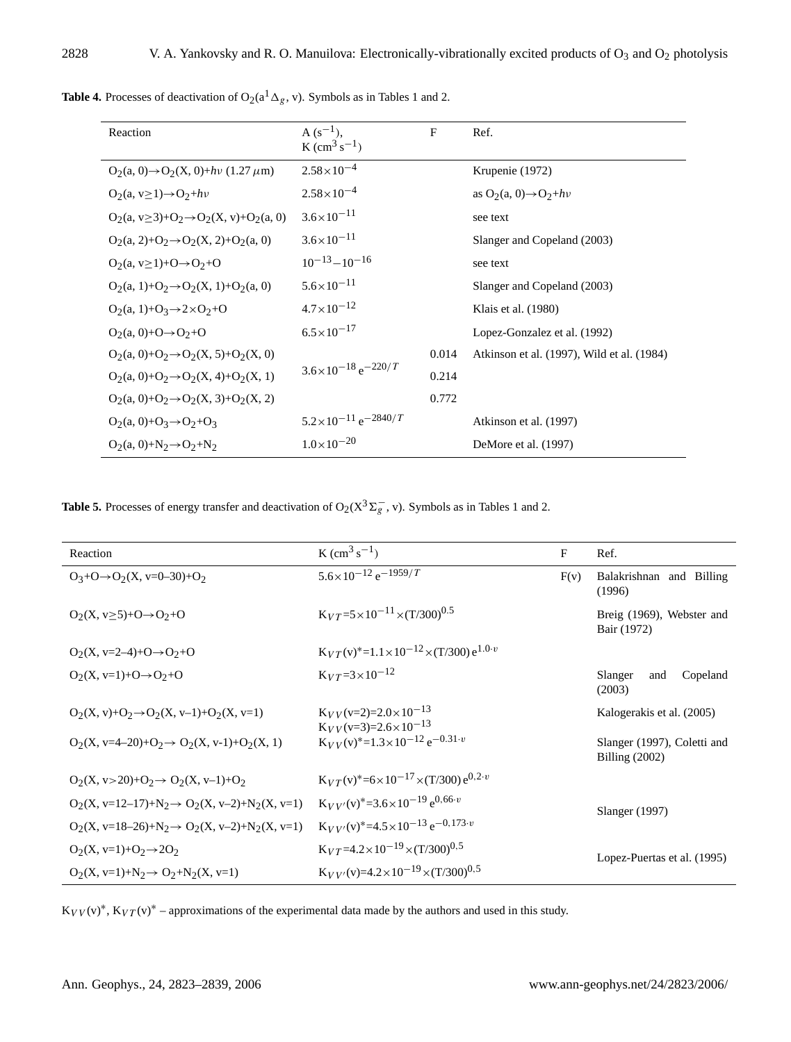| Reaction                                                | $A(s^{-1}),$<br>K $\rm (cm^3 \, s^{-1})$    | $\mathbf F$ | Ref.                                       |
|---------------------------------------------------------|---------------------------------------------|-------------|--------------------------------------------|
| $O_2(a, 0) \rightarrow O_2(X, 0) + h\nu (1.27 \,\mu m)$ | $2.58 \times 10^{-4}$                       |             | Krupenie (1972)                            |
| $Q_2(a, v>1) \rightarrow Q_2 + h\nu$                    | $2.58 \times 10^{-4}$                       |             | as $O_2(a, 0) \rightarrow O_2 + h\nu$      |
| $Q_2(a, v>3)+Q_2\rightarrow Q_2(X, v)+Q_2(a, 0)$        | $3.6 \times 10^{-11}$                       |             | see text                                   |
| $Q_2(a, 2)+Q_2 \rightarrow Q_2(X, 2)+Q_2(a, 0)$         | $3.6 \times 10^{-11}$                       |             | Slanger and Copeland (2003)                |
| $Q_2(a, v>1)+Q\rightarrow Q_2+Q$                        | $10^{-13} - 10^{-16}$                       |             | see text                                   |
| $Q_2(a, 1)+Q_2 \rightarrow Q_2(X, 1)+Q_2(a, 0)$         | $5.6 \times 10^{-11}$                       |             | Slanger and Copeland (2003)                |
| $Q_2(a, 1)+Q_3 \rightarrow 2 \times Q_2+Q$              | $4.7 \times 10^{-12}$                       |             | Klais et al. (1980)                        |
| $O_2(a, 0)+O \rightarrow O_2+O$                         | $6.5 \times 10^{-17}$                       |             | Lopez-Gonzalez et al. (1992)               |
| $O_2(a, 0) + O_2 \rightarrow O_2(X, 5) + O_2(X, 0)$     |                                             | 0.014       | Atkinson et al. (1997), Wild et al. (1984) |
| $O_2(a, 0) + O_2 \rightarrow O_2(X, 4) + O_2(X, 1)$     | $3.6 \times 10^{-18}$ e <sup>-220</sup> /T  | 0.214       |                                            |
| $O_2(a, 0) + O_2 \rightarrow O_2(X, 3) + O_2(X, 2)$     |                                             | 0.772       |                                            |
| $O_2(a, 0) + O_3 \rightarrow O_2 + O_3$                 | $5.2 \times 10^{-11}$ e <sup>-2840</sup> /T |             | Atkinson et al. (1997)                     |
| $O_2(a, 0) + N_2 \rightarrow O_2 + N_2$                 | $1.0\times10^{-20}$                         |             | DeMore et al. (1997)                       |

**Table 4.** Processes of deactivation of  $O_2(a^1\Delta_g, v)$ . Symbols as in Tables 1 and 2.

**Table 5.** Processes of energy transfer and deactivation of  $O_2(X^3\Sigma_g^-)$ , v). Symbols as in Tables 1 and 2.

| Reaction                                                  | K $\rm (cm^3 \, s^{-1})$                                           | $\mathbf F$ | Ref.                                            |
|-----------------------------------------------------------|--------------------------------------------------------------------|-------------|-------------------------------------------------|
| $Q_3+Q\rightarrow Q_2(X, v=0-30)+Q_2$                     | $5.6 \times 10^{-12}$ e <sup>-1959</sup> /T                        | F(v)        | Balakrishnan and Billing<br>(1996)              |
| $O_2(X, v \geq 5)+O \rightarrow O_2+O$                    | $K_{VT} = 5 \times 10^{-11} \times (T/300)^{0.5}$                  |             | Breig (1969), Webster and<br>Bair (1972)        |
| $Q_2(X, y=2-4)+O\rightarrow O_2+O$                        | $K_{VT}(v)^* = 1.1 \times 10^{-12} \times (T/300) e^{1.0 \cdot v}$ |             |                                                 |
| $O_2(X, v=1)+O\rightarrow O_2+O$                          | $K_{VT} = 3 \times 10^{-12}$                                       |             | Copeland<br>Slanger<br>and<br>(2003)            |
| $O_2(X, y)+O_2 \rightarrow O_2(X, y-1)+O_2(X, y=1)$       | $K_{VV}(v=2)=2.0\times10^{-13}$<br>$K_{VV}(v=3)=2.6\times10^{-13}$ |             | Kalogerakis et al. (2005)                       |
| $O_2(X, y=4-20)+O_2 \rightarrow O_2(X, y-1)+O_2(X, 1)$    | $K_{VV}(v)^* = 1.3 \times 10^{-12} e^{-0.31 \cdot v}$              |             | Slanger (1997), Coletti and<br>Billing $(2002)$ |
| $O_2(X, v>20)+O_2 \rightarrow O_2(X, v-1)+O_2$            | $K_{VT}(v)^* = 6 \times 10^{-17} \times (T/300) e^{0.2 \cdot v}$   |             |                                                 |
| $O_2(X, v=12-17)+N_2 \rightarrow O_2(X, v-2)+N_2(X, v=1)$ | $K_{VV'}(v)^* = 3.6 \times 10^{-19} e^{0.66 \cdot v}$              |             | Slanger (1997)                                  |
| $O_2(X, v=18-26)+N_2 \rightarrow O_2(X, v-2)+N_2(X, v=1)$ | $K_{V V'}(v)^* = 4.5 \times 10^{-13} e^{-0.173 \cdot v}$           |             |                                                 |
| $Q_2(X, v=1)+Q_2\rightarrow 2Q_2$                         | $K_{VT}$ =4.2×10 <sup>-19</sup> ×(T/300) <sup>0,5</sup>            |             | Lopez-Puertas et al. (1995)                     |
| $O_2(X, v=1)+N_2 \rightarrow O_2+N_2(X, v=1)$             | $K_{V V'}(v) = 4.2 \times 10^{-19} \times (T/300)^{0.5}$           |             |                                                 |

 $K_{VV}(v)^*$ ,  $K_{VT}(v)^*$  – approximations of the experimental data made by the authors and used in this study.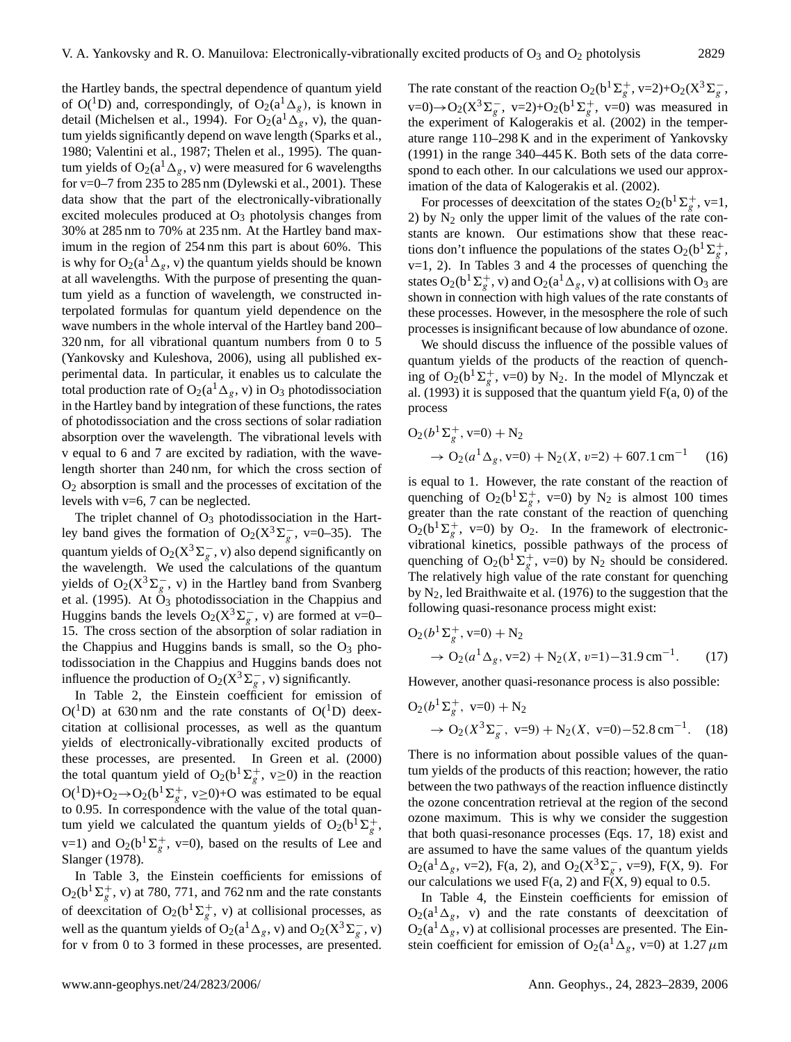the Hartley bands, the spectral dependence of quantum yield of O(<sup>1</sup>D) and, correspondingly, of O<sub>2</sub>( $a^1\Delta_g$ ), is known in detail (Michelsen et al., 1994). For  $O_2(a^1\Delta_g, v)$ , the quantum yields significantly depend on wave length (Sparks et al., 1980; Valentini et al., 1987; Thelen et al., 1995). The quantum yields of  $O_2(a^T \Delta_g, v)$  were measured for 6 wavelengths for v=0–7 from 235 to 285 nm (Dylewski et al., 2001). These data show that the part of the electronically-vibrationally excited molecules produced at  $O<sub>3</sub>$  photolysis changes from 30% at 285 nm to 70% at 235 nm. At the Hartley band maximum in the region of 254 nm this part is about 60%. This is why for  $O_2(a^T\Delta_{\varrho}, v)$  the quantum yields should be known at all wavelengths. With the purpose of presenting the quantum yield as a function of wavelength, we constructed interpolated formulas for quantum yield dependence on the wave numbers in the whole interval of the Hartley band 200– 320 nm, for all vibrational quantum numbers from 0 to 5 (Yankovsky and Kuleshova, 2006), using all published experimental data. In particular, it enables us to calculate the total production rate of  $O_2(a^1\Delta_g, v)$  in  $O_3$  photodissociation in the Hartley band by integration of these functions, the rates of photodissociation and the cross sections of solar radiation absorption over the wavelength. The vibrational levels with v equal to 6 and 7 are excited by radiation, with the wavelength shorter than 240 nm, for which the cross section of  $O<sub>2</sub>$  absorption is small and the processes of excitation of the levels with  $v=6$ , 7 can be neglected.

The triplet channel of  $O_3$  photodissociation in the Hartley band gives the formation of O<sub>2</sub>( $X^3 \Sigma_g^-$ , v=0–35). The quantum yields of O<sub>2</sub>( $X^3 \Sigma_g^-$ , v) also depend significantly on the wavelength. We used the calculations of the quantum yields of  $O_2(X^3\Sigma_g^-$ , v) in the Hartley band from Svanberg et al. (1995). At  $\ddot{O}_3$  photodissociation in the Chappius and Huggins bands the levels  $O_2(X^3\Sigma_g^-$ , v) are formed at v=0– 15. The cross section of the absorption of solar radiation in the Chappius and Huggins bands is small, so the  $O_3$  photodissociation in the Chappius and Huggins bands does not influence the production of O<sub>2</sub>( $X^3 \Sigma_g^-$ , v) significantly.

In Table 2, the Einstein coefficient for emission of  $O(^1D)$  at 630 nm and the rate constants of  $O(^1D)$  deexcitation at collisional processes, as well as the quantum yields of electronically-vibrationally excited products of these processes, are presented. In Green et al. (2000) the total quantum yield of O<sub>2</sub>(b<sup>1</sup> $\Sigma_g^+$ , v≥0) in the reaction  $O(^1D)+O_2 \rightarrow O_2(b^1\Sigma_g^+, v\geq 0)+O$  was estimated to be equal to 0.95. In correspondence with the value of the total quantum yield we calculated the quantum yields of  $O_2(b^{\hat{1}}\Sigma_g^+)$  $v=1$ ) and  $O_2(b^1\Sigma_g^+, v=0)$ , based on the results of Lee and Slanger (1978).

In Table 3, the Einstein coefficients for emissions of  $O_2(b^1\Sigma_g^+, v)$  at 780, 771, and 762 nm and the rate constants of deexcitation of  $O_2(b^1\Sigma_g^+, v)$  at collisional processes, as well as the quantum yields of O<sub>2</sub>( $a^1 \Delta_g$ , v) and O<sub>2</sub>( $X^3 \Sigma_g^-$ , v) for v from 0 to 3 formed in these processes, are presented.

The rate constant of the reaction  $O_2(b^1\Sigma_g^+, v=2)+O_2(X^3\Sigma_g^-,$  $v=0$ )→O<sub>2</sub>( $X^3\Sigma_g^-$ ,  $v=2$ )+O<sub>2</sub>( $b^1\Sigma_g^+$ ,  $v=0$ ) was measured in the experiment of Kalogerakis et al. (2002) in the temperature range 110–298 K and in the experiment of Yankovsky (1991) in the range 340–445 K. Both sets of the data correspond to each other. In our calculations we used our approximation of the data of Kalogerakis et al. (2002).

For processes of deexcitation of the states  $O_2(b^1\Sigma_g^+, v=1,$ 2) by  $N_2$  only the upper limit of the values of the rate constants are known. Our estimations show that these reactions don't influence the populations of the states  $O_2(b^1\Sigma_g^+)$ ,  $v=1$ , 2). In Tables 3 and 4 the processes of quenching the states O<sub>2</sub>( $b^1\Sigma_g^+$ , v) and O<sub>2</sub>( $a^1\Delta_g$ , v) at collisions with O<sub>3</sub> are shown in connection with high values of the rate constants of these processes. However, in the mesosphere the role of such processes is insignificant because of low abundance of ozone.

We should discuss the influence of the possible values of quantum yields of the products of the reaction of quenching of O<sub>2</sub>( $b^1\Sigma_g^+$ , v=0) by N<sub>2</sub>. In the model of Mlynczak et al.  $(1993)$  it is supposed that the quantum yield  $F(a, 0)$  of the process

$$
O_2(b^1\Sigma_g^+, v=0) + N_2
$$
  
\n
$$
\rightarrow O_2(a^1\Delta_g, v=0) + N_2(X, v=2) + 607.1 \text{ cm}^{-1}
$$
 (16)

is equal to 1. However, the rate constant of the reaction of quenching of O<sub>2</sub>(b<sup>1</sup> $\Sigma_g^+$ , v=0) by N<sub>2</sub> is almost 100 times greater than the rate constant of the reaction of quenching  $O_2(b^1\Sigma_g^+, v=0)$  by  $O_2$ . In the framework of electronicvibrational kinetics, possible pathways of the process of quenching of O<sub>2</sub>(b<sup>1</sup> $\Sigma_g^+$ , v=0) by N<sub>2</sub> should be considered. The relatively high value of the rate constant for quenching by  $N_2$ , led Braithwaite et al. (1976) to the suggestion that the following quasi-resonance process might exist:

$$
O_2(b^1\Sigma_g^+, v=0) + N_2
$$
  
\n
$$
\rightarrow O_2(a^1\Delta_g, v=2) + N_2(X, v=1) - 31.9 \text{ cm}^{-1}.
$$
 (17)

However, another quasi-resonance process is also possible:

$$
O_2(b^1\Sigma_g^+, v=0) + N_2
$$
  
\n
$$
\rightarrow O_2(X^3\Sigma_g^-, v=9) + N_2(X, v=0) - 52.8 \text{ cm}^{-1}. \quad (18)
$$

There is no information about possible values of the quantum yields of the products of this reaction; however, the ratio between the two pathways of the reaction influence distinctly the ozone concentration retrieval at the region of the second ozone maximum. This is why we consider the suggestion that both quasi-resonance processes (Eqs. 17, 18) exist and are assumed to have the same values of the quantum yields  $O_2(a^1\Delta_g, v=2)$ , F(a, 2), and  $O_2(X^3\Sigma_g^-, v=9)$ , F(X, 9). For our calculations we used  $F(a, 2)$  and  $F(X, 9)$  equal to 0.5.

In Table 4, the Einstein coefficients for emission of  $O_2(a^1\Delta_g, v)$  and the rate constants of deexcitation of  $O_2(a^1\Delta_g, v)$  at collisional processes are presented. The Einstein coefficient for emission of O<sub>2</sub>(a<sup>1</sup> $\Delta$ <sub>g</sub>, v=0) at 1.27  $\mu$ m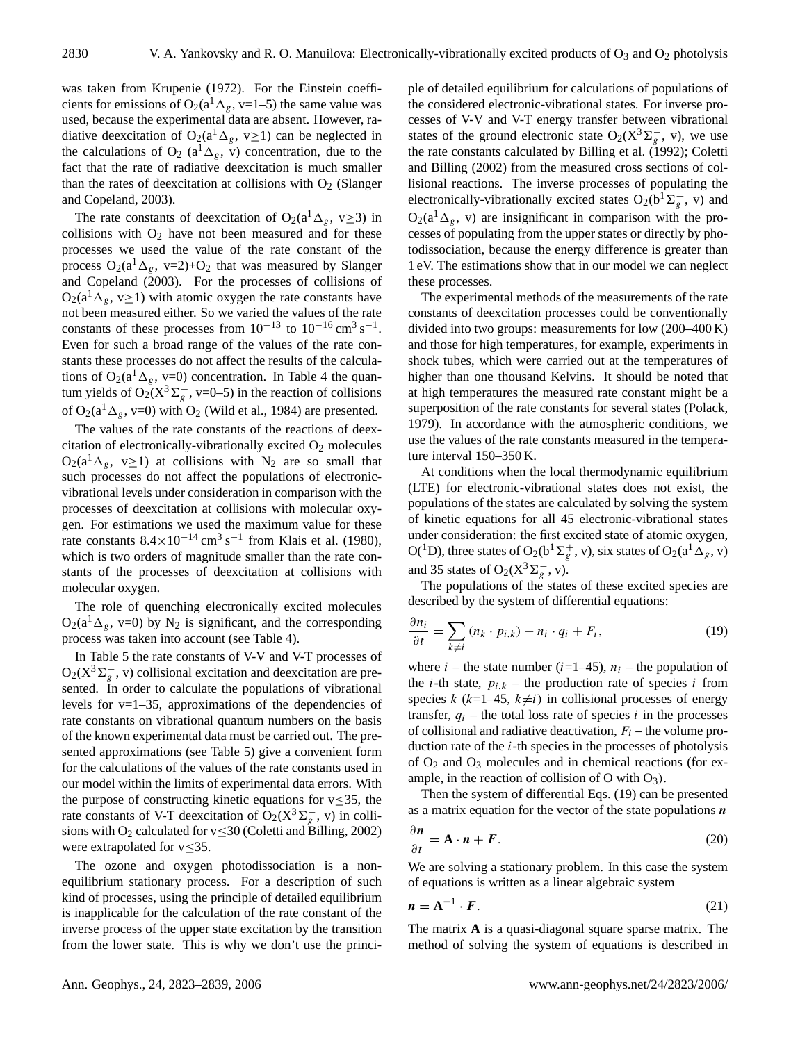was taken from Krupenie (1972). For the Einstein coefficients for emissions of O<sub>2</sub>( $a<sup>1</sup>\Delta_g$ , v=1–5) the same value was used, because the experimental data are absent. However, radiative deexcitation of O<sub>2</sub>(a<sup>1</sup> $\Delta_g$ , v≥1) can be neglected in the calculations of O<sub>2</sub> (a<sup>1</sup> $\Delta_g$ , v) concentration, due to the fact that the rate of radiative deexcitation is much smaller than the rates of deexcitation at collisions with  $O<sub>2</sub>$  (Slanger and Copeland, 2003).

The rate constants of deexcitation of O<sub>2</sub>(a<sup>1</sup> $\Delta$ <sub>g</sub>, v
ightarrow 1) in collisions with  $O_2$  have not been measured and for these processes we used the value of the rate constant of the process  $O_2(a^1\Delta_g, v=2)+O_2$  that was measured by Slanger and Copeland (2003). For the processes of collisions of  $O_2(a^1\Delta_g, v\geq 1)$  with atomic oxygen the rate constants have not been measured either. So we varied the values of the rate constants of these processes from  $10^{-13}$  to  $10^{-16}$  cm<sup>3</sup> s<sup>-1</sup>. Even for such a broad range of the values of the rate constants these processes do not affect the results of the calculations of  $O_2(a^1\Delta_g, v=0)$  concentration. In Table 4 the quantum yields of O<sub>2</sub>( $X^3 \Sigma_g^-$ , v=0–5) in the reaction of collisions of  $O_2(a^1\Delta_g, v=0)$  with  $O_2$  (Wild et al., 1984) are presented.

The values of the rate constants of the reactions of deexcitation of electronically-vibrationally excited  $O_2$  molecules  $O_2(a^1\Delta_g, v\geq 1)$  at collisions with N<sub>2</sub> are so small that such processes do not affect the populations of electronicvibrational levels under consideration in comparison with the processes of deexcitation at collisions with molecular oxygen. For estimations we used the maximum value for these rate constants  $8.4 \times 10^{-14}$  cm<sup>3</sup> s<sup>-1</sup> from Klais et al. (1980), which is two orders of magnitude smaller than the rate constants of the processes of deexcitation at collisions with molecular oxygen.

The role of quenching electronically excited molecules  $O_2(a^1\Delta_g, v=0)$  by N<sub>2</sub> is significant, and the corresponding process was taken into account (see Table 4).

In Table 5 the rate constants of V-V and V-T processes of  $O_2(X^3\Sigma_g^-$ , v) collisional excitation and deexcitation are presented. In order to calculate the populations of vibrational levels for  $v=1-35$ , approximations of the dependencies of rate constants on vibrational quantum numbers on the basis of the known experimental data must be carried out. The presented approximations (see Table 5) give a convenient form for the calculations of the values of the rate constants used in our model within the limits of experimental data errors. With the purpose of constructing kinetic equations for  $v \leq 35$ , the rate constants of V-T deexcitation of  $O_2(X^3\Sigma_g^-$ , v) in collisions with O<sub>2</sub> calculated for  $v \le 30$  (Coletti and Billing, 2002) were extrapolated for  $v \leq 35$ .

The ozone and oxygen photodissociation is a nonequilibrium stationary process. For a description of such kind of processes, using the principle of detailed equilibrium is inapplicable for the calculation of the rate constant of the inverse process of the upper state excitation by the transition from the lower state. This is why we don't use the principle of detailed equilibrium for calculations of populations of the considered electronic-vibrational states. For inverse processes of V-V and V-T energy transfer between vibrational states of the ground electronic state O<sub>2</sub>( $X^3 \Sigma_g^-$ , v), we use the rate constants calculated by Billing et al. (1992); Coletti and Billing (2002) from the measured cross sections of collisional reactions. The inverse processes of populating the electronically-vibrationally excited states  $O_2(b^1\Sigma_g^+, v)$  and  $O_2(a^1\Delta_{\varrho}, v)$  are insignificant in comparison with the processes of populating from the upper states or directly by photodissociation, because the energy difference is greater than 1 eV. The estimations show that in our model we can neglect these processes.

The experimental methods of the measurements of the rate constants of deexcitation processes could be conventionally divided into two groups: measurements for low (200–400 K) and those for high temperatures, for example, experiments in shock tubes, which were carried out at the temperatures of higher than one thousand Kelvins. It should be noted that at high temperatures the measured rate constant might be a superposition of the rate constants for several states (Polack, 1979). In accordance with the atmospheric conditions, we use the values of the rate constants measured in the temperature interval 150–350 K.

At conditions when the local thermodynamic equilibrium (LTE) for electronic-vibrational states does not exist, the populations of the states are calculated by solving the system of kinetic equations for all 45 electronic-vibrational states under consideration: the first excited state of atomic oxygen, O(<sup>1</sup>D), three states of O<sub>2</sub>(b<sup>1</sup> $\Sigma_g^+$ , v), six states of O<sub>2</sub>(a<sup>1</sup> $\Delta_g$ , v) and 35 states of O<sub>2</sub>( $X^3\Sigma_g^-$ , v).

The populations of the states of these excited species are described by the system of differential equations:

$$
\frac{\partial n_i}{\partial t} = \sum_{k \neq i} (n_k \cdot p_{i,k}) - n_i \cdot q_i + F_i, \tag{19}
$$

where  $i$  – the state number ( $i=1-45$ ),  $n_i$  – the population of the *i*-th state,  $p_{i,k}$  – the production rate of species *i* from species k (k=1–45, k $\neq i$ ) in collisional processes of energy transfer,  $q_i$  – the total loss rate of species i in the processes of collisional and radiative deactivation,  $F_i$  – the volume production rate of the  $i$ -th species in the processes of photolysis of  $O_2$  and  $O_3$  molecules and in chemical reactions (for example, in the reaction of collision of O with  $O_3$ ).

Then the system of differential Eqs. (19) can be presented as a matrix equation for the vector of the state populations  $n$ 

$$
\frac{\partial n}{\partial t} = \mathbf{A} \cdot \mathbf{n} + \mathbf{F}.\tag{20}
$$

We are solving a stationary problem. In this case the system of equations is written as a linear algebraic system

$$
n = A^{-1} \cdot F. \tag{21}
$$

The matrix **A** is a quasi-diagonal square sparse matrix. The method of solving the system of equations is described in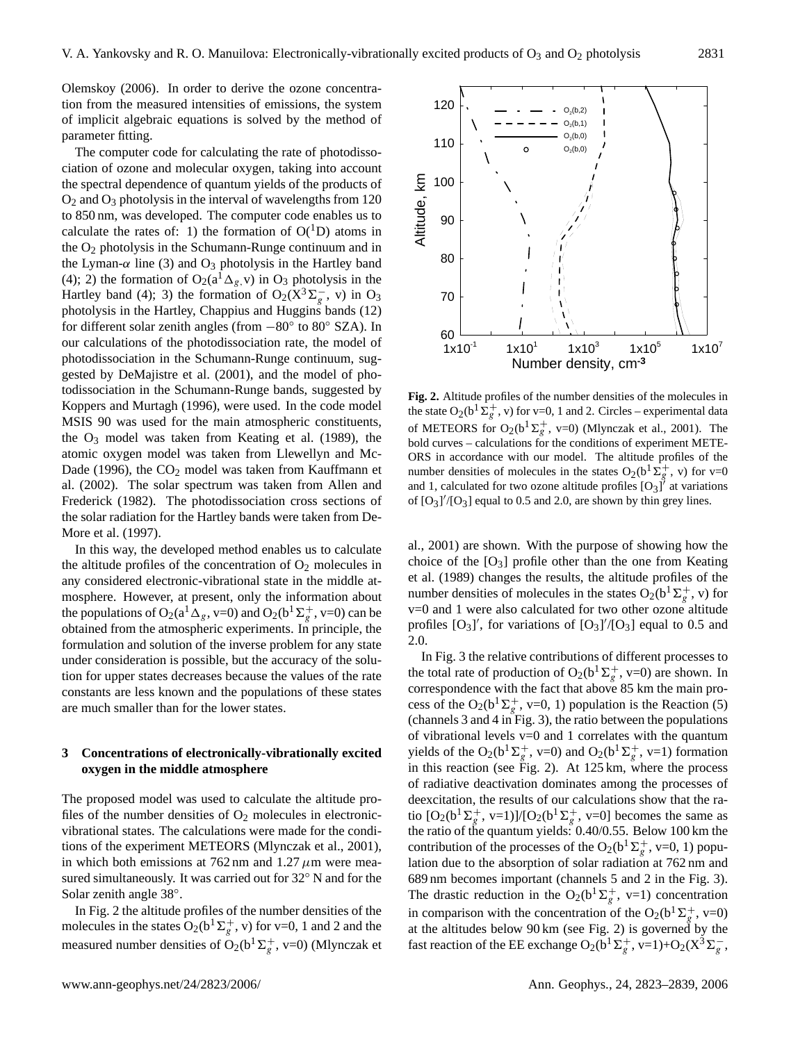Olemskoy (2006). In order to derive the ozone concentration from the measured intensities of emissions, the system of implicit algebraic equations is solved by the method of parameter fitting.

The computer code for calculating the rate of photodissociation of ozone and molecular oxygen, taking into account the spectral dependence of quantum yields of the products of  $O_2$  and  $O_3$  photolysis in the interval of wavelengths from 120 to 850 nm, was developed. The computer code enables us to calculate the rates of: 1) the formation of  $O(^1D)$  atoms in the  $O_2$  photolysis in the Schumann-Runge continuum and in the Lyman- $\alpha$  line (3) and O<sub>3</sub> photolysis in the Hartley band (4); 2) the formation of  $O_2(a^1\Delta_g, v)$  in  $O_3$  photolysis in the Hartley band (4); 3) the formation of  $O_2(X^3\Sigma_g^-)$ , v) in  $O_3$ photolysis in the Hartley, Chappius and Huggins bands (12) for different solar zenith angles (from −80◦ to 80◦ SZA). In our calculations of the photodissociation rate, the model of photodissociation in the Schumann-Runge continuum, suggested by DeMajistre et al. (2001), and the model of photodissociation in the Schumann-Runge bands, suggested by Koppers and Murtagh (1996), were used. In the code model MSIS 90 was used for the main atmospheric constituents, the  $O_3$  model was taken from Keating et al. (1989), the atomic oxygen model was taken from Llewellyn and Mc-Dade (1996), the CO<sub>2</sub> model was taken from Kauffmann et al. (2002). The solar spectrum was taken from Allen and Frederick (1982). The photodissociation cross sections of the solar radiation for the Hartley bands were taken from De-More et al. (1997).

In this way, the developed method enables us to calculate the altitude profiles of the concentration of  $O_2$  molecules in any considered electronic-vibrational state in the middle atmosphere. However, at present, only the information about the populations of O<sub>2</sub>( $a^1$  $\Delta_g$ , v=0) and O<sub>2</sub>( $b^1\Sigma_g^+$ , v=0) can be obtained from the atmospheric experiments. In principle, the formulation and solution of the inverse problem for any state under consideration is possible, but the accuracy of the solution for upper states decreases because the values of the rate constants are less known and the populations of these states are much smaller than for the lower states.

## **3 Concentrations of electronically-vibrationally excited oxygen in the middle atmosphere**

The proposed model was used to calculate the altitude profiles of the number densities of  $O_2$  molecules in electronicvibrational states. The calculations were made for the conditions of the experiment METEORS (Mlynczak et al., 2001), in which both emissions at  $762 \text{ nm}$  and  $1.27 \mu \text{m}$  were measured simultaneously. It was carried out for 32◦ N and for the Solar zenith angle 38°.

In Fig. 2 the altitude profiles of the number densities of the molecules in the states  $O_2(b^1\Sigma_g^+, v)$  for v=0, 1 and 2 and the measured number densities of  $O_2(b^1\Sigma_g^+, v=0)$  (Mlynczak et



**Fig. 2.** Altitude profiles of the number densities of the molecules in the state O<sub>2</sub>(b<sup>1</sup> $\sum_{g}^{+}$ , v) for v=0, 1 and 2. Circles – experimental data of METEORS for O<sub>2</sub>(b<sup>1</sup> $\Sigma_g^+$ , v=0) (Mlynczak et al., 2001). The bold curves – calculations for the conditions of experiment METE-ORS in accordance with our model. The altitude profiles of the number densities of molecules in the states  $O_2(b^{\frac{1}{2}}\Sigma_g^+, v)$  for v=0 and 1, calculated for two ozone altitude profiles  $[O_3]$ <sup> $\dot{O}$ </sup> at variations of  $[O_3]'/[O_3]$  equal to 0.5 and 2.0, are shown by thin grey lines.

al., 2001) are shown. With the purpose of showing how the choice of the  $[O_3]$  profile other than the one from Keating et al. (1989) changes the results, the altitude profiles of the number densities of molecules in the states  $O_2(b^1\Sigma_g^+, v)$  for v=0 and 1 were also calculated for two other ozone altitude profiles  $[O_3]'$ , for variations of  $[O_3]'/[O_3]$  equal to 0.5 and 2.0.

In Fig. 3 the relative contributions of different processes to the total rate of production of  $O_2(b^1\Sigma_g^+, v=0)$  are shown. In correspondence with the fact that above 85 km the main process of the O<sub>2</sub>(b<sup>1</sup> $\Sigma_g^+$ , v=0, 1) population is the Reaction (5) (channels 3 and 4 in Fig. 3), the ratio between the populations of vibrational levels  $v=0$  and 1 correlates with the quantum yields of the O<sub>2</sub>(b<sup>1</sup> $\Sigma_g^+$ , v=0) and O<sub>2</sub>(b<sup>1</sup> $\Sigma_g^+$ , v=1) formation in this reaction (see Fig. 2). At 125 km, where the process of radiative deactivation dominates among the processes of deexcitation, the results of our calculations show that the ratio  $[O_2(b^1\Sigma_g^+, v=1)]/[O_2(b^1\Sigma_g^+, v=0]$  becomes the same as the ratio of the quantum yields: 0.40/0.55. Below 100 km the contribution of the processes of the O<sub>2</sub>(b<sup>1</sup> $\Sigma_g^+$ , v=0, 1) population due to the absorption of solar radiation at 762 nm and 689 nm becomes important (channels 5 and 2 in the Fig. 3). The drastic reduction in the O<sub>2</sub>(b<sup>1</sup> $\Sigma_g^+$ , v=1) concentration in comparison with the concentration of the O<sub>2</sub>(b<sup>1</sup> $\Sigma_g^+$ , v=0) at the altitudes below 90 km (see Fig. 2) is governed by the fast reaction of the EE exchange  $O_2(b^1\Sigma_g^+, v=1)+O_2(X^3\Sigma_g^-,$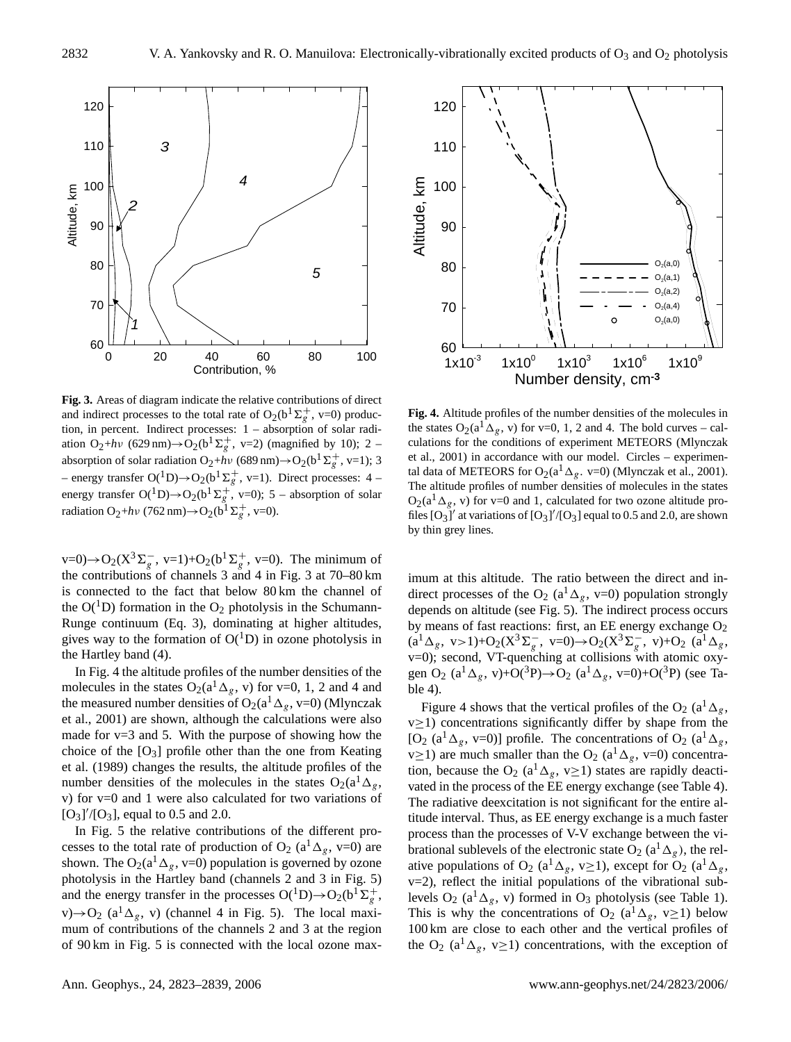

**Fig. 3.** Areas of diagram indicate the relative contributions of direct and indirect processes to the total rate of O<sub>2</sub>(b<sup>1</sup> $\Sigma_g^+$ , v=0) production, in percent. Indirect processes: 1 – absorption of solar radiation  $O_2$ +*hv* (629 nm) $\rightarrow$ O<sub>2</sub>(b<sup>1</sup>  $\Sigma_g^+$ , v=2) (magnified by 10); 2 – absorption of solar radiation  $O_2 + h\nu$  (689 nm) $\rightarrow$   $O_2(b^1\Sigma_g^+, v=1)$ ; 3 – energy transfer O(<sup>1</sup>D)→O<sub>2</sub>(b<sup>1</sup> $\Sigma_g^+$ , v=1). Direct processes: 4 – energy transfer  $O(^1D) \rightarrow O_2(b^1\Sigma_g^+, v=0)$ ; 5 – absorption of solar radiation O<sub>2</sub>+ $h\nu$  (762 nm) $\rightarrow$ O<sub>2</sub>(b<sup>1</sup>  $\Sigma_g^+$ , v=0).

 $v=0$ )→O<sub>2</sub>( $X^3\Sigma_g^-$ ,  $v=1$ )+O<sub>2</sub>( $b^1\Sigma_g^+$ ,  $v=0$ ). The minimum of the contributions of channels 3 and 4 in Fig. 3 at 70–80 km is connected to the fact that below 80 km the channel of the  $O(^1D)$  formation in the  $O_2$  photolysis in the Schumann-Runge continuum (Eq. 3), dominating at higher altitudes, gives way to the formation of  $O(^1D)$  in ozone photolysis in the Hartley band (4).

In Fig. 4 the altitude profiles of the number densities of the molecules in the states  $O_2(a^1\Delta_g, v)$  for v=0, 1, 2 and 4 and the measured number densities of  $O_2(a^1\Delta_g, v=0)$  (Mlynczak et al., 2001) are shown, although the calculations were also made for  $v=3$  and 5. With the purpose of showing how the choice of the  $[O_3]$  profile other than the one from Keating et al. (1989) changes the results, the altitude profiles of the number densities of the molecules in the states  $O_2(a^1\Delta_g)$ , v) for v=0 and 1 were also calculated for two variations of  $[O_3]'/[O_3]$ , equal to 0.5 and 2.0.

In Fig. 5 the relative contributions of the different processes to the total rate of production of  $O_2$  (a<sup>1</sup> $\Delta_g$ , v=0) are shown. The O<sub>2</sub>( $a^{1}\Delta_{g}$ , v=0) population is governed by ozone photolysis in the Hartley band (channels 2 and 3 in Fig. 5) and the energy transfer in the processes  $O(^1D) \rightarrow O_2(b^1\Sigma_g^+)$ v) $\rightarrow$ O<sub>2</sub> (a<sup>1</sup> $\Delta$ <sub>g</sub>, v) (channel 4 in Fig. 5). The local maximum of contributions of the channels 2 and 3 at the region of 90 km in Fig. 5 is connected with the local ozone max-



**Fig. 4.** Altitude profiles of the number densities of the molecules in the states  $O_2(a^1\Delta_g, v)$  for v=0, 1, 2 and 4. The bold curves – calculations for the conditions of experiment METEORS (Mlynczak et al., 2001) in accordance with our model. Circles – experimental data of METEORS for O<sub>2</sub>(a<sup>1</sup>  $\Delta$ <sub>g</sub>. v=0) (Mlynczak et al., 2001). The altitude profiles of number densities of molecules in the states  $O_2(a^1\Delta_g, v)$  for v=0 and 1, calculated for two ozone altitude profiles  $[O_3]'$  at variations of  $[O_3]'/[O_3]$  equal to 0.5 and 2.0, are shown by thin grey lines.

imum at this altitude. The ratio between the direct and indirect processes of the O<sub>2</sub> (a<sup>1</sup> $\Delta_g$ , v=0) population strongly depends on altitude (see Fig. 5). The indirect process occurs by means of fast reactions: first, an EE energy exchange O<sub>2</sub>  $(a^1\Delta_g, v>1)+O_2(X^3\Sigma_g^-, v=0) \rightarrow O_2(X^3\Sigma_g^-, v)+O_2(a^1\Delta_g, v=0)$ v=0); second, VT-quenching at collisions with atomic oxygen O<sub>2</sub> (a<sup>1</sup> $\Delta_g$ , v)+O(<sup>3</sup>P)→O<sub>2</sub> (a<sup>1</sup> $\Delta_g$ , v=0)+O(<sup>3</sup>P) (see Table 4).

Figure 4 shows that the vertical profiles of the O<sub>2</sub> (a<sup>1</sup> $\Delta_g$ ,  $v \ge 1$ ) concentrations significantly differ by shape from the [O<sub>2</sub> (a<sup>1</sup> $\Delta_g$ , v=0)] profile. The concentrations of O<sub>2</sub> (a<sup>1</sup> $\Delta_g$ , v $\geq$ 1) are much smaller than the O<sub>2</sub> (a<sup>1</sup> $\Delta_g$ , v=0) concentration, because the O<sub>2</sub> (a<sup>1</sup> $\Delta_g$ , v $\geq$ 1) states are rapidly deactivated in the process of the EE energy exchange (see Table 4). The radiative deexcitation is not significant for the entire altitude interval. Thus, as EE energy exchange is a much faster process than the processes of V-V exchange between the vibrational sublevels of the electronic state O<sub>2</sub> ( $a^1\Delta_g$ ), the relative populations of O<sub>2</sub> (a<sup>1</sup> $\Delta_g$ , v $\geq$ 1), except for O<sub>2</sub> (a<sup>1</sup> $\Delta_g$ , v=2), reflect the initial populations of the vibrational sublevels  $O_2$  (a<sup>1</sup> $\Delta_g$ , v) formed in  $O_3$  photolysis (see Table 1). This is why the concentrations of O<sub>2</sub> (a<sup>1</sup> $\Delta_g$ , v≥1) below 100 km are close to each other and the vertical profiles of the O<sub>2</sub> (a<sup>1</sup> $\Delta_g$ , v≥1) concentrations, with the exception of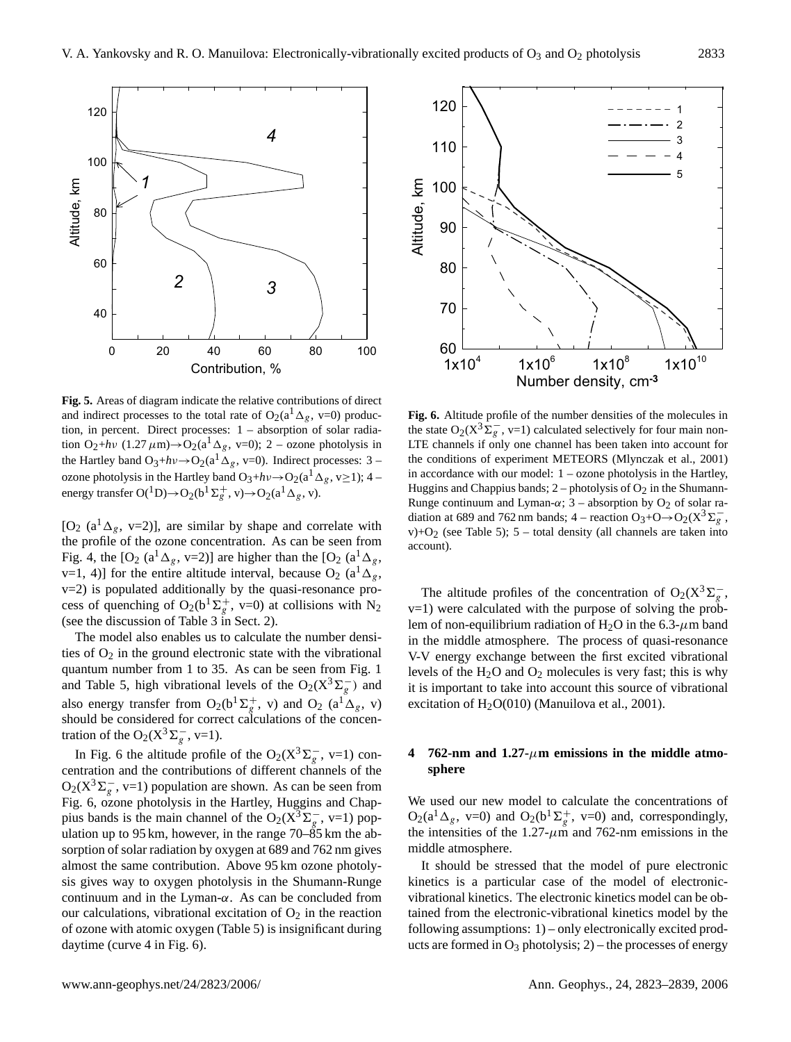

**Fig. 5.** Areas of diagram indicate the relative contributions of direct and indirect processes to the total rate of  $O_2(a^1\Delta_g, v=0)$  production, in percent. Direct processes: 1 – absorption of solar radiation  $O_2$ +hv (1.27  $\mu$ m)→ $O_2$ (a<sup>1</sup>  $\Delta_g$ , v=0); 2 – ozone photolysis in the Hartley band  $O_3+h\nu \rightarrow O_2(a^1\Delta_g, v=0)$ . Indirect processes: 3 – ozone photolysis in the Hartley band  $O_3 + hv \rightarrow O_2(a^1\Delta_g, v \ge 1)$ ; 4 – energy transfer  $O(^1D) \rightarrow O_2(b^1\Sigma_g^+, v) \rightarrow O_2(a^1\Delta_g, v)$ .

 $[O_2 (a^1 \Delta_g, v=2)]$ , are similar by shape and correlate with the profile of the ozone concentration. As can be seen from Fig. 4, the [O<sub>2</sub> (a<sup>1</sup> $\Delta_g$ , v=2)] are higher than the [O<sub>2</sub> (a<sup>1</sup> $\Delta_g$ , v=1, 4)] for the entire altitude interval, because  $O_2$  (a<sup>1</sup> $\Delta$ <sub>g</sub>, v=2) is populated additionally by the quasi-resonance process of quenching of O<sub>2</sub>(b<sup>1</sup> $\Sigma_g^+$ , v=0) at collisions with N<sub>2</sub> (see the discussion of Table 3 in Sect. 2).

The model also enables us to calculate the number densities of  $O_2$  in the ground electronic state with the vibrational quantum number from 1 to 35. As can be seen from Fig. 1 and Table 5, high vibrational levels of the O<sub>2</sub>( $X^3 \Sigma_g^-$ ) and also energy transfer from  $O_2(b^1\Sigma_g^+, v)$  and  $O_2$  (a<sup>1</sup> $\Delta_g$ , v) should be considered for correct calculations of the concentration of the O<sub>2</sub>( $X^3 \Sigma_g^-$ , v=1).

In Fig. 6 the altitude profile of the  $O_2(X^3\Sigma_g^-$ , v=1) concentration and the contributions of different channels of the  $O_2(X^3\Sigma_g^-$ , v=1) population are shown. As can be seen from Fig. 6, ozone photolysis in the Hartley, Huggins and Chappius bands is the main channel of the O<sub>2</sub>( $X^3\Sigma_g^-$ , v=1) population up to 95 km, however, in the range  $70-\overline{85}$  km the absorption of solar radiation by oxygen at 689 and 762 nm gives almost the same contribution. Above 95 km ozone photolysis gives way to oxygen photolysis in the Shumann-Runge continuum and in the Lyman- $\alpha$ . As can be concluded from our calculations, vibrational excitation of  $O_2$  in the reaction of ozone with atomic oxygen (Table 5) is insignificant during daytime (curve 4 in Fig. 6).



**Fig. 6.** Altitude profile of the number densities of the molecules in the state O<sub>2</sub>( $X^3 \Sigma_g^-$ , v=1) calculated selectively for four main non-LTE channels if only one channel has been taken into account for the conditions of experiment METEORS (Mlynczak et al., 2001) in accordance with our model: 1 – ozone photolysis in the Hartley, Huggins and Chappius bands;  $2$  – photolysis of  $O_2$  in the Shumann-Runge continuum and Lyman- $\alpha$ ; 3 – absorption by O<sub>2</sub> of solar radiation at 689 and 762 nm bands; 4 – reaction  $O_3 + O \rightarrow O_2(X^3 \Sigma_g^-$ , v)+ $O_2$  (see Table 5); 5 – total density (all channels are taken into account).

The altitude profiles of the concentration of O<sub>2</sub>( $X^3 \Sigma_g^-$ , v=1) were calculated with the purpose of solving the problem of non-equilibrium radiation of H<sub>2</sub>O in the 6.3- $\mu$ m band in the middle atmosphere. The process of quasi-resonance V-V energy exchange between the first excited vibrational levels of the  $H_2O$  and  $O_2$  molecules is very fast; this is why it is important to take into account this source of vibrational excitation of  $H_2O(010)$  (Manuilova et al., 2001).

## **4 762-nm and 1.27-**µ**m emissions in the middle atmosphere**

We used our new model to calculate the concentrations of  $O_2(a^1 \Delta_g, v=0)$  and  $O_2(b^1 \Sigma_g^+, v=0)$  and, correspondingly, the intensities of the 1.27- $\mu$ m and 762-nm emissions in the middle atmosphere.

It should be stressed that the model of pure electronic kinetics is a particular case of the model of electronicvibrational kinetics. The electronic kinetics model can be obtained from the electronic-vibrational kinetics model by the following assumptions: 1) – only electronically excited products are formed in  $O_3$  photolysis; 2) – the processes of energy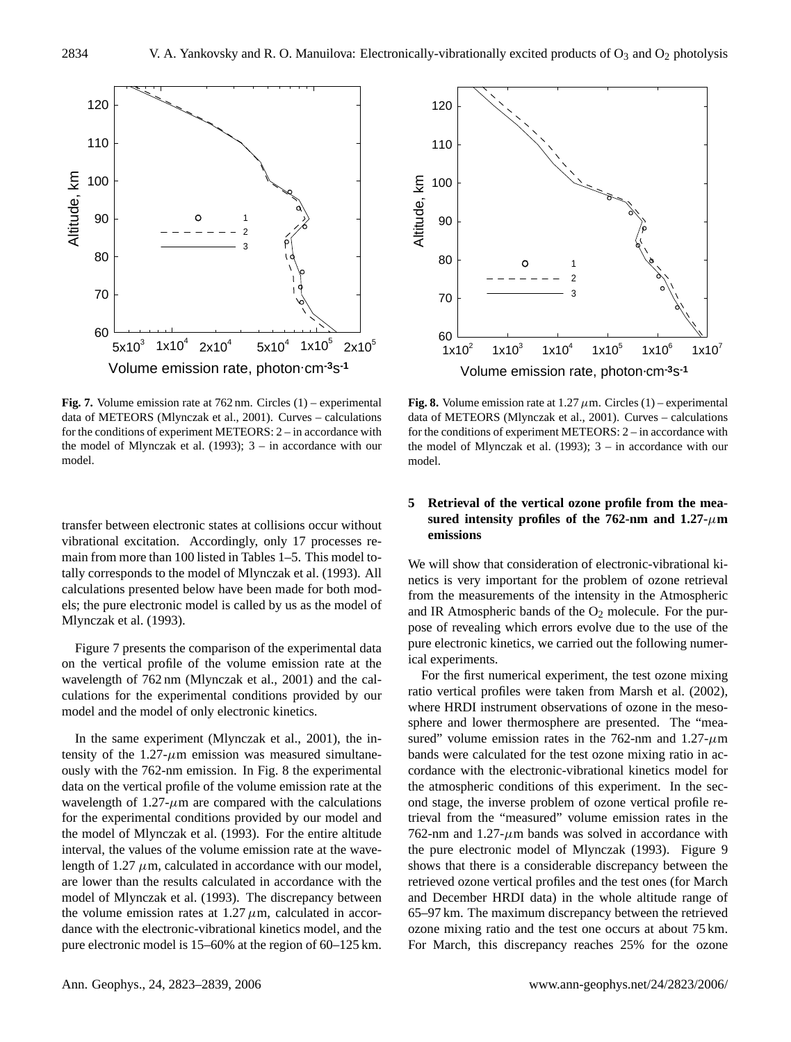

**Fig. 7.** Volume emission rate at 762 nm. Circles (1) – experimental data of METEORS (Mlynczak et al., 2001). Curves – calculations for the conditions of experiment METEORS: 2 – in accordance with the model of Mlynczak et al. (1993); 3 – in accordance with our model.

transfer between electronic states at collisions occur without vibrational excitation. Accordingly, only 17 processes remain from more than 100 listed in Tables 1–5. This model totally corresponds to the model of Mlynczak et al. (1993). All calculations presented below have been made for both models; the pure electronic model is called by us as the model of Mlynczak et al. (1993).

Figure 7 presents the comparison of the experimental data on the vertical profile of the volume emission rate at the wavelength of 762 nm (Mlynczak et al., 2001) and the calculations for the experimental conditions provided by our model and the model of only electronic kinetics.

In the same experiment (Mlynczak et al., 2001), the intensity of the  $1.27 - \mu m$  emission was measured simultaneously with the 762-nm emission. In Fig. 8 the experimental data on the vertical profile of the volume emission rate at the wavelength of  $1.27 - \mu m$  are compared with the calculations for the experimental conditions provided by our model and the model of Mlynczak et al. (1993). For the entire altitude interval, the values of the volume emission rate at the wavelength of 1.27  $\mu$ m, calculated in accordance with our model, are lower than the results calculated in accordance with the model of Mlynczak et al. (1993). The discrepancy between the volume emission rates at  $1.27 \mu$ m, calculated in accordance with the electronic-vibrational kinetics model, and the pure electronic model is 15–60% at the region of 60–125 km.



**Fig. 8.** Volume emission rate at  $1.27 \mu$ m. Circles (1) – experimental data of METEORS (Mlynczak et al., 2001). Curves – calculations for the conditions of experiment METEORS: 2 – in accordance with the model of Mlynczak et al. (1993); 3 – in accordance with our model.

# **5 Retrieval of the vertical ozone profile from the mea**sured intensity profiles of the 762-nm and  $1.27$ - $\mu$ m **emissions**

We will show that consideration of electronic-vibrational kinetics is very important for the problem of ozone retrieval from the measurements of the intensity in the Atmospheric and IR Atmospheric bands of the  $O_2$  molecule. For the purpose of revealing which errors evolve due to the use of the pure electronic kinetics, we carried out the following numerical experiments.

For the first numerical experiment, the test ozone mixing ratio vertical profiles were taken from Marsh et al. (2002), where HRDI instrument observations of ozone in the mesosphere and lower thermosphere are presented. The "measured" volume emission rates in the 762-nm and  $1.27-\mu m$ bands were calculated for the test ozone mixing ratio in accordance with the electronic-vibrational kinetics model for the atmospheric conditions of this experiment. In the second stage, the inverse problem of ozone vertical profile retrieval from the "measured" volume emission rates in the 762-nm and 1.27- $\mu$ m bands was solved in accordance with the pure electronic model of Mlynczak (1993). Figure 9 shows that there is a considerable discrepancy between the retrieved ozone vertical profiles and the test ones (for March and December HRDI data) in the whole altitude range of 65–97 km. The maximum discrepancy between the retrieved ozone mixing ratio and the test one occurs at about 75 km. For March, this discrepancy reaches 25% for the ozone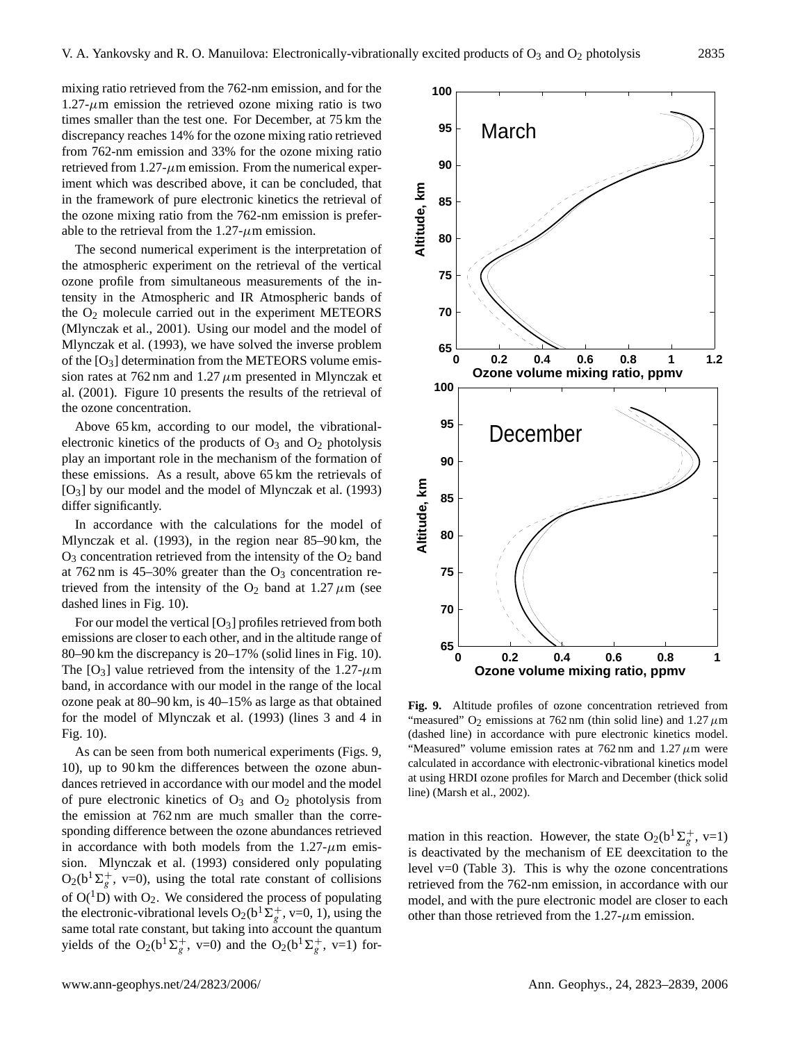mixing ratio retrieved from the 762-nm emission, and for the  $1.27 - \mu$ m emission the retrieved ozone mixing ratio is two times smaller than the test one. For December, at 75 km the discrepancy reaches 14% for the ozone mixing ratio retrieved from 762-nm emission and 33% for the ozone mixing ratio retrieved from  $1.27$ - $\mu$ m emission. From the numerical experiment which was described above, it can be concluded, that in the framework of pure electronic kinetics the retrieval of the ozone mixing ratio from the 762-nm emission is preferable to the retrieval from the  $1.27$ - $\mu$ m emission.

The second numerical experiment is the interpretation of the atmospheric experiment on the retrieval of the vertical ozone profile from simultaneous measurements of the intensity in the Atmospheric and IR Atmospheric bands of the  $O_2$  molecule carried out in the experiment METEORS (Mlynczak et al., 2001). Using our model and the model of Mlynczak et al. (1993), we have solved the inverse problem of the  $[O_3]$  determination from the METEORS volume emission rates at 762 nm and 1.27  $\mu$ m presented in Mlynczak et al. (2001). Figure 10 presents the results of the retrieval of the ozone concentration.

Above 65 km, according to our model, the vibrationalelectronic kinetics of the products of  $O_3$  and  $O_2$  photolysis play an important role in the mechanism of the formation of these emissions. As a result, above 65 km the retrievals of [O3] by our model and the model of Mlynczak et al. (1993) differ significantly.

In accordance with the calculations for the model of Mlynczak et al. (1993), in the region near 85–90 km, the  $O_3$  concentration retrieved from the intensity of the  $O_2$  band at 762 nm is 45–30% greater than the  $O_3$  concentration retrieved from the intensity of the  $O_2$  band at 1.27  $\mu$ m (see dashed lines in Fig. 10).

For our model the vertical [O3] profiles retrieved from both emissions are closer to each other, and in the altitude range of 80–90 km the discrepancy is 20–17% (solid lines in Fig. 10). The  $[O_3]$  value retrieved from the intensity of the 1.27- $\mu$ m band, in accordance with our model in the range of the local ozone peak at 80–90 km, is 40–15% as large as that obtained for the model of Mlynczak et al. (1993) (lines 3 and 4 in Fig. 10).

As can be seen from both numerical experiments (Figs. 9, 10), up to 90 km the differences between the ozone abundances retrieved in accordance with our model and the model of pure electronic kinetics of  $O_3$  and  $O_2$  photolysis from the emission at 762 nm are much smaller than the corresponding difference between the ozone abundances retrieved in accordance with both models from the  $1.27 - \mu m$  emission. Mlynczak et al. (1993) considered only populating  $O_2(b^1\Sigma_g^+, v=0)$ , using the total rate constant of collisions of  $O(^1D)$  with  $O_2$ . We considered the process of populating the electronic-vibrational levels  $O_2(b^1\tilde{\Sigma}_g^+, v=0, 1)$ , using the same total rate constant, but taking into account the quantum yields of the O<sub>2</sub>(b<sup>1</sup> $\Sigma_g^+$ , v=0) and the O<sub>2</sub>(b<sup>1</sup> $\Sigma_g^+$ , v=1) for-



**Fig. 9.** Altitude profiles of ozone concentration retrieved from "measured"  $O_2$  emissions at 762 nm (thin solid line) and 1.27  $\mu$ m (dashed line) in accordance with pure electronic kinetics model. "Measured" volume emission rates at  $762 \text{ nm}$  and  $1.27 \mu \text{m}$  were calculated in accordance with electronic-vibrational kinetics model at using HRDI ozone profiles for March and December (thick solid line) (Marsh et al., 2002).

mation in this reaction. However, the state  $O_2(b^1\Sigma_g^+, v=1)$ is deactivated by the mechanism of EE deexcitation to the level  $v=0$  (Table 3). This is why the ozone concentrations retrieved from the 762-nm emission, in accordance with our model, and with the pure electronic model are closer to each other than those retrieved from the  $1.27$ - $\mu$ m emission.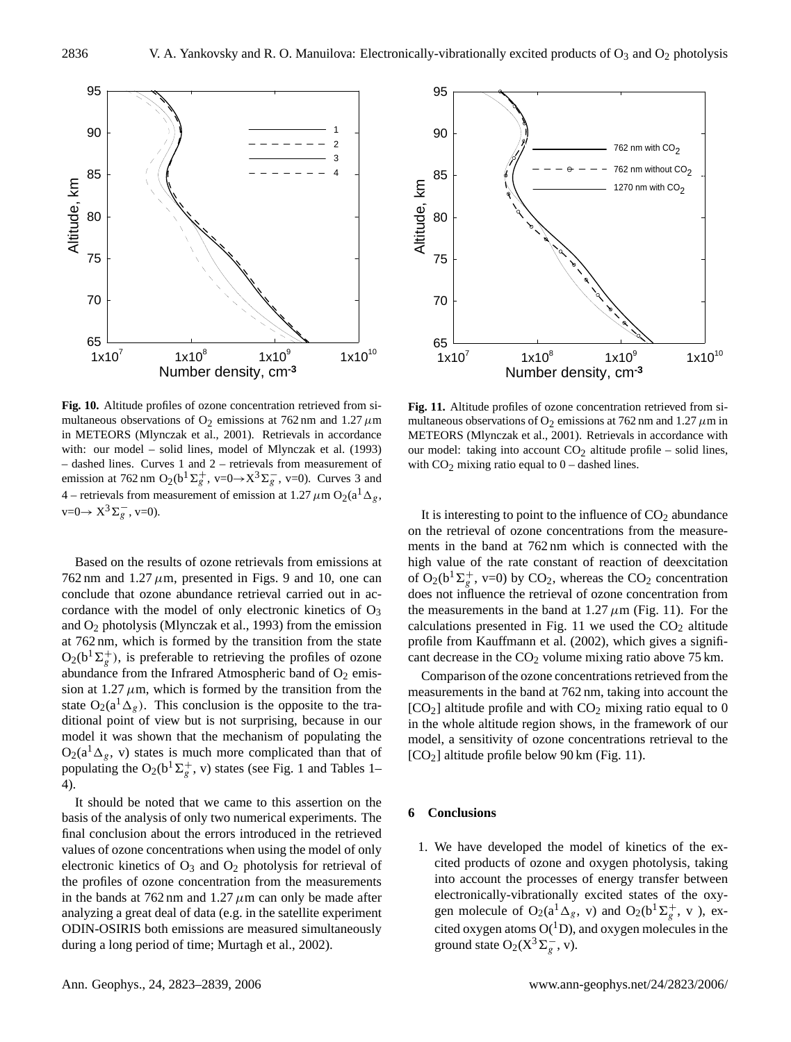

**Fig. 10.** Altitude profiles of ozone concentration retrieved from simultaneous observations of O<sub>2</sub> emissions at 762 nm and 1.27  $\mu$ m in METEORS (Mlynczak et al., 2001). Retrievals in accordance with: our model – solid lines, model of Mlynczak et al. (1993) – dashed lines. Curves 1 and 2 – retrievals from measurement of emission at 762 nm  $O_2(b^1\Sigma_g^+, v=0 \rightarrow X^3\Sigma_g^-, v=0)$ . Curves 3 and 4 – retrievals from measurement of emission at 1.27  $\mu$ m O<sub>2</sub>(a<sup>1</sup>  $\Delta$ <sub>g</sub>,  $v=0 \rightarrow X^3 \Sigma_g^-, v=0.$ 

Based on the results of ozone retrievals from emissions at 762 nm and 1.27  $\mu$ m, presented in Figs. 9 and 10, one can conclude that ozone abundance retrieval carried out in accordance with the model of only electronic kinetics of  $O_3$ and O<sup>2</sup> photolysis (Mlynczak et al., 1993) from the emission at 762 nm, which is formed by the transition from the state  $O_2(b^1\Sigma_g^+)$ , is preferable to retrieving the profiles of ozone abundance from the Infrared Atmospheric band of  $O_2$  emission at  $1.27 \mu$ m, which is formed by the transition from the state  $O_2(a^1\Delta_g)$ . This conclusion is the opposite to the traditional point of view but is not surprising, because in our model it was shown that the mechanism of populating the  $O_2(a^T \Delta_g, v)$  states is much more complicated than that of populating the O<sub>2</sub>( $b^1\Sigma_g^+$ , v) states (see Fig. 1 and Tables 1– 4).

It should be noted that we came to this assertion on the basis of the analysis of only two numerical experiments. The final conclusion about the errors introduced in the retrieved values of ozone concentrations when using the model of only electronic kinetics of  $O_3$  and  $O_2$  photolysis for retrieval of the profiles of ozone concentration from the measurements in the bands at  $762 \text{ nm}$  and  $1.27 \mu \text{m}$  can only be made after analyzing a great deal of data (e.g. in the satellite experiment ODIN-OSIRIS both emissions are measured simultaneously during a long period of time; Murtagh et al., 2002).



**Fig. 11.** Altitude profiles of ozone concentration retrieved from simultaneous observations of  $O_2$  emissions at 762 nm and 1.27  $\mu$ m in METEORS (Mlynczak et al., 2001). Retrievals in accordance with our model: taking into account  $CO<sub>2</sub>$  altitude profile – solid lines, with  $CO<sub>2</sub>$  mixing ratio equal to  $0$  – dashed lines.

It is interesting to point to the influence of  $CO<sub>2</sub>$  abundance on the retrieval of ozone concentrations from the measurements in the band at 762 nm which is connected with the high value of the rate constant of reaction of deexcitation of  $O_2(b^1\Sigma_g^+, v=0)$  by  $CO_2$ , whereas the  $CO_2$  concentration does not influence the retrieval of ozone concentration from the measurements in the band at  $1.27 \mu m$  (Fig. 11). For the calculations presented in Fig. 11 we used the  $CO<sub>2</sub>$  altitude profile from Kauffmann et al. (2002), which gives a significant decrease in the  $CO<sub>2</sub>$  volume mixing ratio above 75 km.

Comparison of the ozone concentrations retrieved from the measurements in the band at 762 nm, taking into account the  $[CO<sub>2</sub>]$  altitude profile and with  $CO<sub>2</sub>$  mixing ratio equal to 0 in the whole altitude region shows, in the framework of our model, a sensitivity of ozone concentrations retrieval to the [CO2] altitude profile below 90 km (Fig. 11).

#### **6 Conclusions**

1. We have developed the model of kinetics of the excited products of ozone and oxygen photolysis, taking into account the processes of energy transfer between electronically-vibrationally excited states of the oxygen molecule of O<sub>2</sub>(a<sup>1</sup> $\Delta_g$ , v) and O<sub>2</sub>(b<sup>1</sup> $\Sigma_g^+$ , v), excited oxygen atoms  $O(^1D)$ , and oxygen molecules in the ground state O<sub>2</sub>( $X^3\Sigma_g^-$ , v).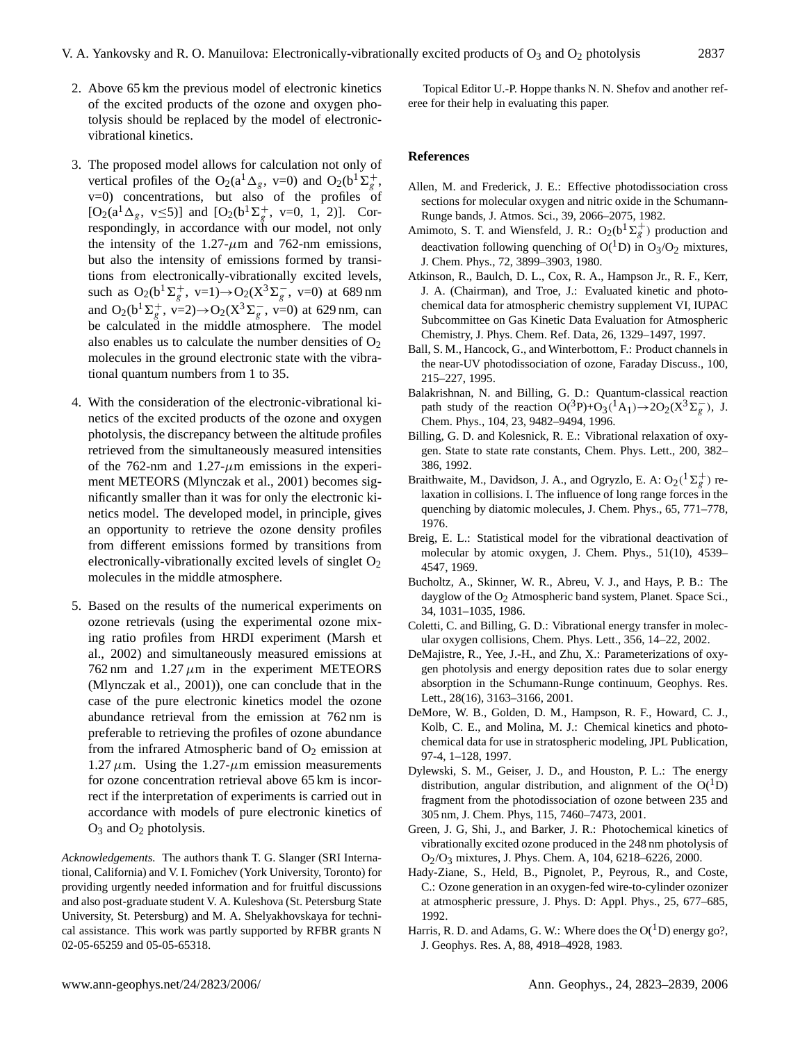- 2. Above 65 km the previous model of electronic kinetics of the excited products of the ozone and oxygen photolysis should be replaced by the model of electronicvibrational kinetics.
- 3. The proposed model allows for calculation not only of vertical profiles of the O<sub>2</sub>( $a^1 \Delta_g$ , v=0) and O<sub>2</sub>( $b^1 \Sigma_g^+$ , v=0) concentrations, but also of the profiles of [ $O_2(a^1 \Delta_g, v \le 5)$ ] and [ $O_2(b^1 \Sigma_g^+, v = 0, 1, 2)$ ]. Correspondingly, in accordance with our model, not only the intensity of the 1.27- $\mu$ m and 762-nm emissions, but also the intensity of emissions formed by transitions from electronically-vibrationally excited levels, such as  $O_2(b^1\Sigma_g^+, v=1) \rightarrow O_2(X^3\Sigma_g^-, v=0)$  at 689 nm and  $O_2(b^1\Sigma_g^+, v=2) \rightarrow O_2(X^3\Sigma_g^-, v=0)$  at 629 nm, can be calculated in the middle atmosphere. The model also enables us to calculate the number densities of  $O_2$ molecules in the ground electronic state with the vibrational quantum numbers from 1 to 35.
- 4. With the consideration of the electronic-vibrational kinetics of the excited products of the ozone and oxygen photolysis, the discrepancy between the altitude profiles retrieved from the simultaneously measured intensities of the 762-nm and 1.27- $\mu$ m emissions in the experiment METEORS (Mlynczak et al., 2001) becomes significantly smaller than it was for only the electronic kinetics model. The developed model, in principle, gives an opportunity to retrieve the ozone density profiles from different emissions formed by transitions from electronically-vibrationally excited levels of singlet  $O_2$ molecules in the middle atmosphere.
- 5. Based on the results of the numerical experiments on ozone retrievals (using the experimental ozone mixing ratio profiles from HRDI experiment (Marsh et al., 2002) and simultaneously measured emissions at 762 nm and 1.27  $\mu$ m in the experiment METEORS (Mlynczak et al., 2001)), one can conclude that in the case of the pure electronic kinetics model the ozone abundance retrieval from the emission at 762 nm is preferable to retrieving the profiles of ozone abundance from the infrared Atmospheric band of  $O_2$  emission at 1.27  $\mu$ m. Using the 1.27- $\mu$ m emission measurements for ozone concentration retrieval above 65 km is incorrect if the interpretation of experiments is carried out in accordance with models of pure electronic kinetics of  $O_3$  and  $O_2$  photolysis.

*Acknowledgements.* The authors thank T. G. Slanger (SRI International, California) and V. I. Fomichev (York University, Toronto) for providing urgently needed information and for fruitful discussions and also post-graduate student V. A. Kuleshova (St. Petersburg State University, St. Petersburg) and M. A. Shelyakhovskaya for technical assistance. This work was partly supported by RFBR grants N 02-05-65259 and 05-05-65318.

Topical Editor U.-P. Hoppe thanks N. N. Shefov and another referee for their help in evaluating this paper.

#### **References**

- Allen, M. and Frederick, J. E.: Effective photodissociation cross sections for molecular oxygen and nitric oxide in the Schumann-Runge bands, J. Atmos. Sci., 39, 2066–2075, 1982.
- Amimoto, S. T. and Wiensfeld, J. R.:  $O_2(b^1\Sigma_g^+)$  production and deactivation following quenching of  $O(^1D)$  in  $O_3/O_2$  mixtures, J. Chem. Phys., 72, 3899–3903, 1980.
- Atkinson, R., Baulch, D. L., Cox, R. A., Hampson Jr., R. F., Kerr, J. A. (Chairman), and Troe, J.: Evaluated kinetic and photochemical data for atmospheric chemistry supplement VI, IUPAC Subcommittee on Gas Kinetic Data Evaluation for Atmospheric Chemistry, J. Phys. Chem. Ref. Data, 26, 1329–1497, 1997.
- Ball, S. M., Hancock, G., and Winterbottom, F.: Product channels in the near-UV photodissociation of ozone, Faraday Discuss., 100, 215–227, 1995.
- Balakrishnan, N. and Billing, G. D.: Quantum-classical reaction path study of the reaction  $O(^3P)+O_3(^1A_1)\rightarrow 2O_2(X^3\Sigma_g^-)$ , J. Chem. Phys., 104, 23, 9482–9494, 1996.
- Billing, G. D. and Kolesnick, R. E.: Vibrational relaxation of oxygen. State to state rate constants, Chem. Phys. Lett., 200, 382– 386, 1992.
- Braithwaite, M., Davidson, J. A., and Ogryzlo, E. A:  $O_2(^1\Sigma_g^+)$  relaxation in collisions. I. The influence of long range forces in the quenching by diatomic molecules, J. Chem. Phys., 65, 771–778, 1976.
- Breig, E. L.: Statistical model for the vibrational deactivation of molecular by atomic oxygen, J. Chem. Phys., 51(10), 4539– 4547, 1969.
- Bucholtz, A., Skinner, W. R., Abreu, V. J., and Hays, P. B.: The dayglow of the  $O_2$  Atmospheric band system, Planet. Space Sci., 34, 1031–1035, 1986.
- Coletti, C. and Billing, G. D.: Vibrational energy transfer in molecular oxygen collisions, Chem. Phys. Lett., 356, 14–22, 2002.
- DeMajistre, R., Yee, J.-H., and Zhu, X.: Parameterizations of oxygen photolysis and energy deposition rates due to solar energy absorption in the Schumann-Runge continuum, Geophys. Res. Lett., 28(16), 3163–3166, 2001.
- DeMore, W. B., Golden, D. M., Hampson, R. F., Howard, C. J., Kolb, C. E., and Molina, M. J.: Chemical kinetics and photochemical data for use in stratospheric modeling, JPL Publication, 97-4, 1–128, 1997.
- Dylewski, S. M., Geiser, J. D., and Houston, P. L.: The energy distribution, angular distribution, and alignment of the  $O(^1D)$ fragment from the photodissociation of ozone between 235 and 305 nm, J. Chem. Phys, 115, 7460–7473, 2001.
- Green, J. G, Shi, J., and Barker, J. R.: Photochemical kinetics of vibrationally excited ozone produced in the 248 nm photolysis of O2/O3 mixtures, J. Phys. Chem. A, 104, 6218–6226, 2000.
- Hady-Ziane, S., Held, B., Pignolet, P., Peyrous, R., and Coste, C.: Ozone generation in an oxygen-fed wire-to-cylinder ozonizer at atmospheric pressure, J. Phys. D: Appl. Phys., 25, 677–685, 1992.
- Harris, R. D. and Adams, G. W.: Where does the  $O(^1D)$  energy go?, J. Geophys. Res. A, 88, 4918–4928, 1983.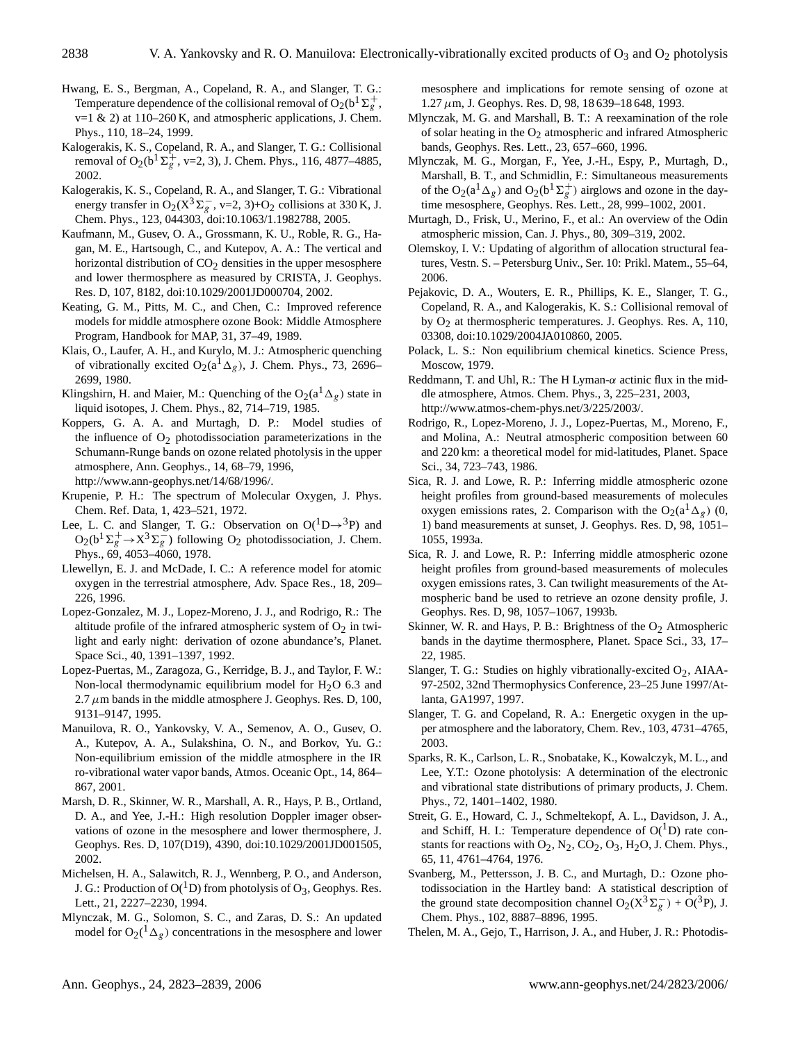- Hwang, E. S., Bergman, A., Copeland, R. A., and Slanger, T. G.: Temperature dependence of the collisional removal of  $O_2(b^1\Sigma_g^+)$  $v=1$  & 2) at 110–260 K, and atmospheric applications, J. Chem. Phys., 110, 18–24, 1999.
- Kalogerakis, K. S., Copeland, R. A., and Slanger, T. G.: Collisional removal of O<sub>2</sub>( $b^{1} \Sigma_{g}^{+}$ , v=2, 3), J. Chem. Phys., 116, 4877–4885, 2002.
- Kalogerakis, K. S., Copeland, R. A., and Slanger, T. G.: Vibrational energy transfer in  $O_2(X^3\Sigma_g^-$ , v=2, 3)+O<sub>2</sub> collisions at 330 K, J. Chem. Phys., 123, 044303, doi:10.1063/1.1982788, 2005.
- Kaufmann, M., Gusev, O. A., Grossmann, K. U., Roble, R. G., Hagan, M. E., Hartsough, C., and Kutepov, A. A.: The vertical and horizontal distribution of  $CO<sub>2</sub>$  densities in the upper mesosphere and lower thermosphere as measured by CRISTA, J. Geophys. Res. D, 107, 8182, doi:10.1029/2001JD000704, 2002.
- Keating, G. M., Pitts, M. C., and Chen, C.: Improved reference models for middle atmosphere ozone Book: Middle Atmosphere Program, Handbook for MAP, 31, 37–49, 1989.
- Klais, O., Laufer, A. H., and Kurylo, M. J.: Atmospheric quenching of vibrationally excited O<sub>2</sub>(a<sup>1</sup> $\Delta$ <sub>g</sub>), J. Chem. Phys., 73, 2696– 2699, 1980.
- Klingshirn, H. and Maier, M.: Quenching of the  $O_2(a^1\Delta_g)$  state in liquid isotopes, J. Chem. Phys., 82, 714–719, 1985.
- Koppers, G. A. A. and Murtagh, D. P.: Model studies of the influence of  $O<sub>2</sub>$  photodissociation parameterizations in the Schumann-Runge bands on ozone related photolysis in the upper atmosphere, Ann. Geophys., 14, 68–79, 1996, [http://www.ann-geophys.net/14/68/1996/.](http://www.ann-geophys.net/14/68/1996/)
- Krupenie, P. H.: The spectrum of Molecular Oxygen, J. Phys. Chem. Ref. Data, 1, 423–521, 1972.
- Lee, L. C. and Slanger, T. G.: Observation on  $O(^1D \rightarrow ^3P)$  and  $O_2(b^1\Sigma_g^+\rightarrow X^3\Sigma_g^-)$  following  $O_2$  photodissociation, J. Chem. Phys., 69, 4053–4060, 1978.
- Llewellyn, E. J. and McDade, I. C.: A reference model for atomic oxygen in the terrestrial atmosphere, Adv. Space Res., 18, 209– 226, 1996.
- Lopez-Gonzalez, M. J., Lopez-Moreno, J. J., and Rodrigo, R.: The altitude profile of the infrared atmospheric system of  $O_2$  in twilight and early night: derivation of ozone abundance's, Planet. Space Sci., 40, 1391–1397, 1992.
- Lopez-Puertas, M., Zaragoza, G., Kerridge, B. J., and Taylor, F. W.: Non-local thermodynamic equilibrium model for  $H<sub>2</sub>O$  6.3 and 2.7  $\mu$ m bands in the middle atmosphere J. Geophys. Res. D, 100, 9131–9147, 1995.
- Manuilova, R. O., Yankovsky, V. A., Semenov, A. O., Gusev, O. A., Kutepov, A. A., Sulakshina, O. N., and Borkov, Yu. G.: Non-equilibrium emission of the middle atmosphere in the IR ro-vibrational water vapor bands, Atmos. Oceanic Opt., 14, 864– 867, 2001.
- Marsh, D. R., Skinner, W. R., Marshall, A. R., Hays, P. B., Ortland, D. A., and Yee, J.-H.: High resolution Doppler imager observations of ozone in the mesosphere and lower thermosphere, J. Geophys. Res. D, 107(D19), 4390, doi:10.1029/2001JD001505, 2002.
- Michelsen, H. A., Salawitch, R. J., Wennberg, P. O., and Anderson, J. G.: Production of  $O({}^1D)$  from photolysis of  $O_3$ , Geophys. Res. Lett., 21, 2227–2230, 1994.
- Mlynczak, M. G., Solomon, S. C., and Zaras, D. S.: An updated model for  $O_2(^1\Delta_g)$  concentrations in the mesosphere and lower

mesosphere and implications for remote sensing of ozone at  $1.27 \mu$ m, J. Geophys. Res. D, 98, 18 639–18 648, 1993.

- Mlynczak, M. G. and Marshall, B. T.: A reexamination of the role of solar heating in the  $O_2$  atmospheric and infrared Atmospheric bands, Geophys. Res. Lett., 23, 657–660, 1996.
- Mlynczak, M. G., Morgan, F., Yee, J.-H., Espy, P., Murtagh, D., Marshall, B. T., and Schmidlin, F.: Simultaneous measurements of the O<sub>2</sub>( $a^1 \Delta_g$ ) and O<sub>2</sub>( $b^1 \Sigma_g^+$ ) airglows and ozone in the daytime mesosphere, Geophys. Res. Lett., 28, 999–1002, 2001.
- Murtagh, D., Frisk, U., Merino, F., et al.: An overview of the Odin atmospheric mission, Can. J. Phys., 80, 309–319, 2002.
- Olemskoy, I. V.: Updating of algorithm of allocation structural features, Vestn. S. – Petersburg Univ., Ser. 10: Prikl. Matem., 55–64, 2006.
- Pejakovic, D. A., Wouters, E. R., Phillips, K. E., Slanger, T. G., Copeland, R. A., and Kalogerakis, K. S.: Collisional removal of by  $O<sub>2</sub>$  at thermospheric temperatures. J. Geophys. Res. A, 110, 03308, doi:10.1029/2004JA010860, 2005.
- Polack, L. S.: Non equilibrium chemical kinetics. Science Press, Moscow, 1979.
- Reddmann, T. and Uhl, R.: The H Lyman- $\alpha$  actinic flux in the middle atmosphere, Atmos. Chem. Phys., 3, 225–231, 2003, [http://www.atmos-chem-phys.net/3/225/2003/.](http://www.atmos-chem-phys.net/3/225/2003/)
- Rodrigo, R., Lopez-Moreno, J. J., Lopez-Puertas, M., Moreno, F., and Molina, A.: Neutral atmospheric composition between 60 and 220 km: a theoretical model for mid-latitudes, Planet. Space Sci., 34, 723–743, 1986.
- Sica, R. J. and Lowe, R. P.: Inferring middle atmospheric ozone height profiles from ground-based measurements of molecules oxygen emissions rates, 2. Comparison with the  $O_2(a^1\Delta_g)$  (0, 1) band measurements at sunset, J. Geophys. Res. D, 98, 1051– 1055, 1993a.
- Sica, R. J. and Lowe, R. P.: Inferring middle atmospheric ozone height profiles from ground-based measurements of molecules oxygen emissions rates, 3. Can twilight measurements of the Atmospheric band be used to retrieve an ozone density profile, J. Geophys. Res. D, 98, 1057–1067, 1993b.
- Skinner, W. R. and Hays, P. B.: Brightness of the  $O_2$  Atmospheric bands in the daytime thermosphere, Planet. Space Sci., 33, 17– 22, 1985.
- Slanger, T. G.: Studies on highly vibrationally-excited  $O_2$ , AIAA-97-2502, 32nd Thermophysics Conference, 23–25 June 1997/Atlanta, GA1997, 1997.
- Slanger, T. G. and Copeland, R. A.: Energetic oxygen in the upper atmosphere and the laboratory, Chem. Rev., 103, 4731–4765, 2003.
- Sparks, R. K., Carlson, L. R., Snobatake, K., Kowalczyk, M. L., and Lee, Y.T.: Ozone photolysis: A determination of the electronic and vibrational state distributions of primary products, J. Chem. Phys., 72, 1401–1402, 1980.
- Streit, G. E., Howard, C. J., Schmeltekopf, A. L., Davidson, J. A., and Schiff, H. I.: Temperature dependence of  $O(^1D)$  rate constants for reactions with  $O_2$ ,  $N_2$ ,  $CO_2$ ,  $O_3$ ,  $H_2O$ , J. Chem. Phys., 65, 11, 4761–4764, 1976.
- Svanberg, M., Pettersson, J. B. C., and Murtagh, D.: Ozone photodissociation in the Hartley band: A statistical description of the ground state decomposition channel  $O_2(X^3\Sigma_g^-) + O(^3P)$ , J. Chem. Phys., 102, 8887–8896, 1995.
- Thelen, M. A., Gejo, T., Harrison, J. A., and Huber, J. R.: Photodis-